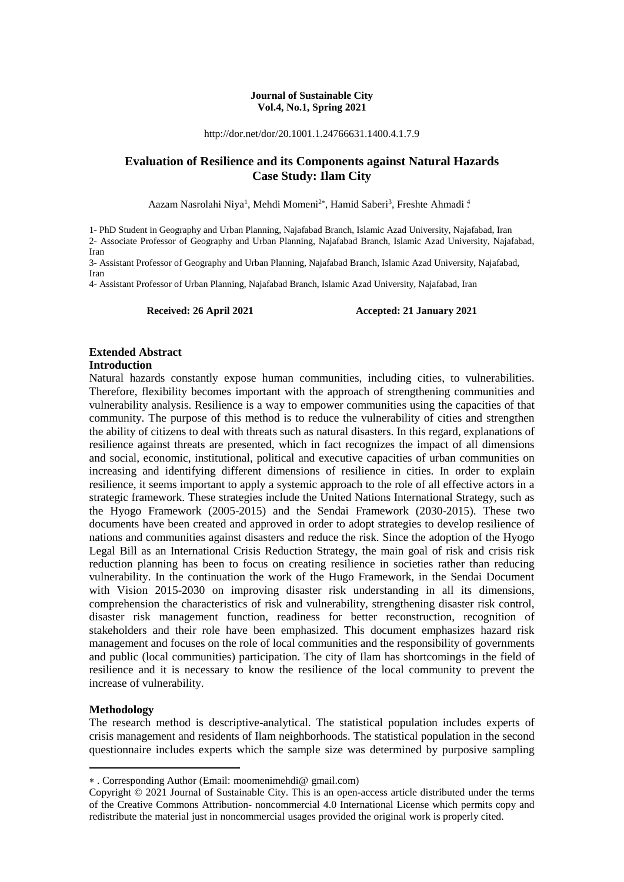#### **Journal of Sustainable City Vol.4, No.1, Spring 2021**

http://dor.net/dor/20.1001.1.24766631.1400.4.1.7.9

#### **Evaluation of Resilience and its Components against Natural Hazards Case Study: Ilam City**

Aazam Nasrolahi Niya<sup>1</sup>, Mehdi Momeni<sup>2\*</sup>, Hamid Saberi<sup>3</sup>, Freshte Ahmadi<sup>4</sup>.

1- PhD Student in Geography and Urban Planning, Najafabad Branch, Islamic Azad University, Najafabad, Iran 2- Associate Professor of Geography and Urban Planning, Najafabad Branch, Islamic Azad University, Najafabad, Iran

3- Assistant Professor of Geography and Urban Planning, Najafabad Branch, Islamic Azad University, Najafabad, Iran

4- Assistant Professor of Urban Planning, Najafabad Branch, Islamic Azad University, Najafabad, Iran

#### Received: 26 April 2021 **Accepted: 21 January 2021**

#### **Extended Abstract**

#### **Introduction**

Natural hazards constantly expose human communities, including cities, to vulnerabilities. Therefore, flexibility becomes important with the approach of strengthening communities and vulnerability analysis. Resilience is a way to empower communities using the capacities of that community. The purpose of this method is to reduce the vulnerability of cities and strengthen the ability of citizens to deal with threats such as natural disasters. In this regard, explanations of resilience against threats are presented, which in fact recognizes the impact of all dimensions and social, economic, institutional, political and executive capacities of urban communities on increasing and identifying different dimensions of resilience in cities. In order to explain resilience, it seems important to apply a systemic approach to the role of all effective actors in a strategic framework. These strategies include the United Nations International Strategy, such as the Hyogo Framework (2005-2015) and the Sendai Framework (2030-2015). These two documents have been created and approved in order to adopt strategies to develop resilience of nations and communities against disasters and reduce the risk. Since the adoption of the Hyogo Legal Bill as an International Crisis Reduction Strategy, the main goal of risk and crisis risk reduction planning has been to focus on creating resilience in societies rather than reducing vulnerability. In the continuation the work of the Hugo Framework, in the Sendai Document with Vision 2015-2030 on improving disaster risk understanding in all its dimensions, comprehension the characteristics of risk and vulnerability, strengthening disaster risk control, disaster risk management function, readiness for better reconstruction, recognition of stakeholders and their role have been emphasized. This document emphasizes hazard risk management and focuses on the role of local communities and the responsibility of governments and public (local communities) participation. The city of Ilam has shortcomings in the field of resilience and it is necessary to know the resilience of the local community to prevent the increase of vulnerability.

#### **Methodology**

**.** 

The research method is descriptive-analytical. The statistical population includes experts of crisis management and residents of Ilam neighborhoods. The statistical population in the second questionnaire includes experts which the sample size was determined by purposive sampling

. Corresponding Author (Email: moomenimehdi@ gmail.com)

Copyright © 2021 Journal of Sustainable City. This is an open-access article distributed under the terms of the Creative Commons Attribution- noncommercial 4.0 International License which permits copy and redistribute the material just in noncommercial usages provided the original work is properly cited.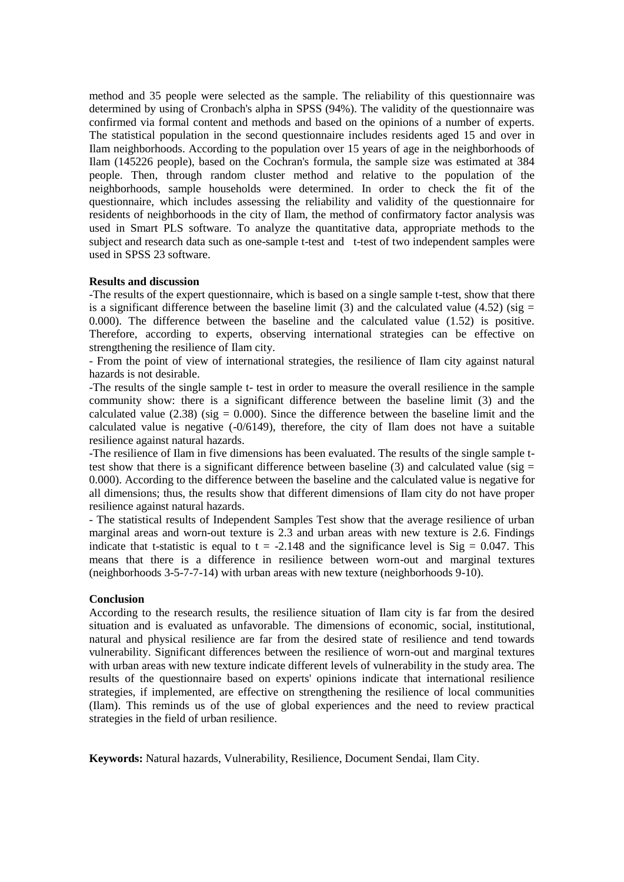method and 35 people were selected as the sample. The reliability of this questionnaire was determined by using of Cronbach's alpha in SPSS (94%). The validity of the questionnaire was confirmed via formal content and methods and based on the opinions of a number of experts. The statistical population in the second questionnaire includes residents aged 15 and over in Ilam neighborhoods. According to the population over 15 years of age in the neighborhoods of Ilam (145226 people), based on the Cochran's formula, the sample size was estimated at 384 people. Then, through random cluster method and relative to the population of the neighborhoods, sample households were determined. In order to check the fit of the questionnaire, which includes assessing the reliability and validity of the questionnaire for residents of neighborhoods in the city of Ilam, the method of confirmatory factor analysis was used in Smart PLS software. To analyze the quantitative data, appropriate methods to the subject and research data such as one-sample t-test and t-test of two independent samples were used in SPSS 23 software.

#### **Results and discussion**

-The results of the expert questionnaire, which is based on a single sample t-test, show that there is a significant difference between the baseline limit (3) and the calculated value (4.52) (sig  $=$ 0.000). The difference between the baseline and the calculated value (1.52) is positive. Therefore, according to experts, observing international strategies can be effective on strengthening the resilience of Ilam city.

- From the point of view of international strategies, the resilience of Ilam city against natural hazards is not desirable.

-The results of the single sample t- test in order to measure the overall resilience in the sample community show: there is a significant difference between the baseline limit (3) and the calculated value  $(2.38)$  (sig = 0.000). Since the difference between the baseline limit and the calculated value is negative  $(-0/6149)$ , therefore, the city of Ilam does not have a suitable resilience against natural hazards.

-The resilience of Ilam in five dimensions has been evaluated. The results of the single sample ttest show that there is a significant difference between baseline (3) and calculated value (sig  $=$ 0.000). According to the difference between the baseline and the calculated value is negative for all dimensions; thus, the results show that different dimensions of Ilam city do not have proper resilience against natural hazards.

- The statistical results of Independent Samples Test show that the average resilience of urban marginal areas and worn-out texture is 2.3 and urban areas with new texture is 2.6. Findings indicate that t-statistic is equal to  $t = -2.148$  and the significance level is  $Sig = 0.047$ . This means that there is a difference in resilience between worn-out and marginal textures (neighborhoods 3-5-7-7-14) with urban areas with new texture (neighborhoods 9-10).

#### **Conclusion**

According to the research results, the resilience situation of Ilam city is far from the desired situation and is evaluated as unfavorable. The dimensions of economic, social, institutional, natural and physical resilience are far from the desired state of resilience and tend towards vulnerability. Significant differences between the resilience of worn-out and marginal textures with urban areas with new texture indicate different levels of vulnerability in the study area. The results of the questionnaire based on experts' opinions indicate that international resilience strategies, if implemented, are effective on strengthening the resilience of local communities (Ilam). This reminds us of the use of global experiences and the need to review practical strategies in the field of urban resilience.

**Keywords:** Natural hazards, Vulnerability, Resilience, Document Sendai, Ilam City.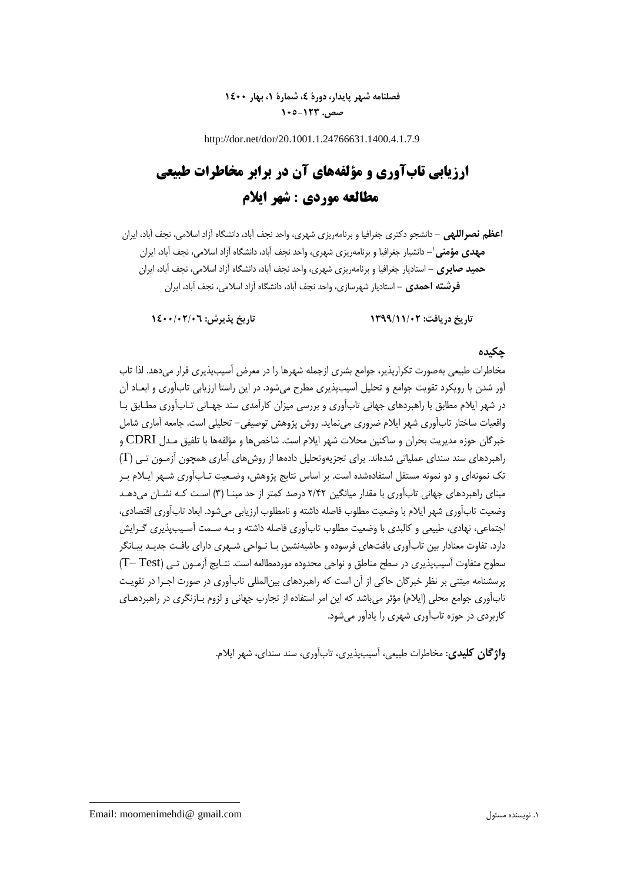## **فصلنامه شهر پایدار، دورۀ ،4 شمارۀ ،1 بهار 1400 صص. 105-123**

http://dor.net/dor/20.1001.1.24766631.1400.4.1.7.9

# **ارزیابی تابآوری و مؤلفههای آن در برابر مخاطرات طبیعی مطالعه موردی : شهر ایالم**

**اعظم نصراللهی -** دانشجو دکتری جغرافیا و برنامهریزی شهری، واحد نجف آباد، دانشگاه آزاد اسالمی، نجف آباد، ایران **-** دانشیار جغرافیا و برنامهریزی شهری، واحد نجف آباد، دانشگاه آزاد اسالمی، نجف آباد، ایران <sup>1</sup> **مهدی مؤمنی حمید صابری -** استادیار جغرافیا و برنامهریزی شهری، واحد نجف آباد، دانشگاه آزاد اسالمی، نجف آباد، ایران **فرشته احمدی -** استادیار شهرسازی، واحد نجف آباد، دانشگاه آزاد اسالمی، نجف آباد، ایران

## **تاریخ دریافت: 1399/11/02 تاریخ پذیرش: 1400/02/06**

#### **چکیده**

مخاطرات طبیعی بهصورت تکرارپذیر، جوامع بشری ازجمله شهرها را در معرض آسیبپذیری قرار میدهد. لذا تاب آور شدن با رویکرد تقویت جوامع و تحلیل آسیبپذیری مطرح میشود. در این راستا ارزیابی تابآوری و ابعـاد آن در شهر ایالم مطابق با راهبردهای جهانی تابآوری و بررسی میزان کارآمدی سند جهـانی تـابآوری مطـابق بـا واقعیات ساختار تابآوری شهر ایالم ضروری مینماید. روش پژوهش توصیفی- تحلیلی است. جامعه آماری شامل خبرگان حوزه مدیریت بحران و ساکنین محالت شهر ایالم است. شاخصها و مؤلفهها با تلفیق مـدل CDRI و راهبردهای سند سندای عملیاتی شدهاند. برای تجزیهوتحلیل دادهها از روشهای آماری همچون آزمـون تـی )T ) تک نمونهای و دو نمونه مستقل استفادهشده است. بر اساس نتایج پژوهش، وضـعیت تـابآوری شـهر ایـالم بـر مبنای راهبردهای جهانی تابآوری با مقدار میانگین 2/42 درصد کمتر از حد مبنـا )3( اسـت کـه نشـان میدهـد وضعیت تابآوری شهر ایالم با وضعیت مطلوب فاصله داشته و نامطلوب ارزیابی میشود. ابعاد تابآوری اقتصادی، اجتماعی، نهادی، طبیعی و کالبدی با وضعیت مطلوب تابآوری فاصله داشته و بـه سـمت آسـیبپذیری گـرایش دارد. تفاوت معنادار بین تابآوری بافتهای فرسوده و حاشیهنشین بـا نـواحی شـهری دارای بافـت جدیـد بیـانگر سطوح متفاوت آسیبپذیری در سطح مناطق و نواحی محدوده موردمطالعه است. نتـایج آزمـون تـی )Test– T) پرسشنامه مبتنی بر نظر خبرگان حاکی از آن است که راهبردهای بینالمللی تابآوری در صورت اجـرا در تقویـت تابآوری جوامع محلی (ایلام) مؤثر میباشد که این امر استفاده از تجارب جهانی و لزوم بـازنگری در راهبردهـای کاربردی در حوزه تابآوری شهری را یادآور میشود.

**واژگان کلیدی**: مخاطرات طبیعی، آسیبپذیری، تابآوری، سند سندای، شهر ایالم.

Email: moomenimehdi@ gmail.com مسئول نویسنده .1

**.**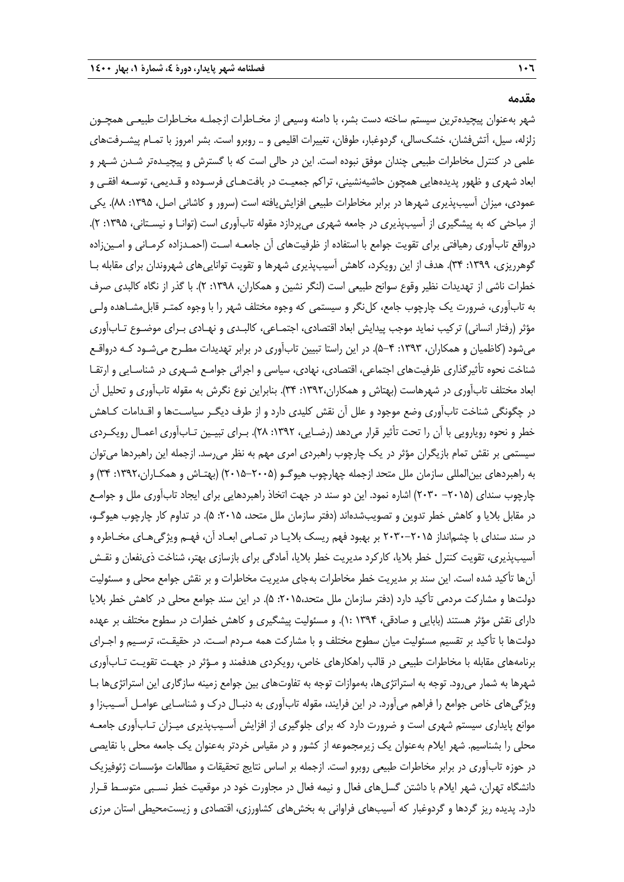#### **مقدمه**

شهر بهعنوان پیچیدهترین سیستم ساخته دست بشر، با دامنه وسیعی از مخـاطرات ازجملـه مخـاطرات طبیعـی همچـون زلزله، سیل، آتشفشان، خشکسالی، گردوغبار، طوفان، تغییرات اقلیمی و .. روبرو است. بشر امروز با تمـام پیشـرفتهای علمی در کنترل مخاطرات طبیعی چندان موفق نبوده است. این در حالی است که با گسترش و پیچیـدهتر شـدن شـهر و ابعاد شهری و ظهور پدیدههایی همچون حاشیهنشینی، تراکم جمعیـت در بافتهـای فرسـوده و قـدیمی، توسـعه افقـی و عمودی، میزان آسیبپذیری شهرها در برابر مخاطرات طبیعی افزایش یافته است (سرور و کاشانی اصل، ۱۳۹۵: ۸۸). یکی از مباحثی که به پیشگیری از آسیبپذیری در جامعه شهری میپردازد مقوله تابآوری است (توانـا و نیسـتانی، ۱۳۹۵: ۲). درواقع تابآوری رهیافتی برای تقویت جوامع با استفاده از ظرفیتهای آن جامعـه اسـت )احمـدزاده کرمـانی و امـینزاده گوهرریزی، ۱۳۹۹: ۳۴). هدف از این رویکرد، کاهش آسیبپذیری شهرها و تقویت تواناییهای شهروندان برای مقابله بـا خطرات ناشی از تهدیدات نظیر وقوع سوانح طبیعی است (لنگر نشین و همکاران، ۱۳۹۸: ۲). با گذر از نگاه کالبدی صرف به تابآوری، ضرورت یک چارچوب جامع، کلنگر و سیستمی که وجوه مختلف شهر را با وجوه کمتـر قابلمشـاهده ولـی مؤثر )رفتار انسانی( ترکیب نماید موجب پیدایش ابعاد اقتصادی، اجتمـاعی، کالبـدی و نهـادی بـرای موضـوع تـابآوری میشود )کاظمیان و همکاران، :1393 5-4(. در این راستا تبیین تابآوری در برابر تهدیدات مطـرح میشـود کـه درواقـع شناخت نحوه تأثیرگذاری ظرفیتهای اجتماعی، اقتصادی، نهادی، سیاسی و اجرائی جوامـع شـهری در شناسـایی و ارتقـا ابعاد مختلف تابآوری در شهرهاست )بهتاش و همکاران:1392، 34(. بنابراین نوع نگرش به مقوله تابآوری و تحلیل آن در چگونگی شناخت تابآوری وضع موجود و علل آن نقش کلیدی دارد و از طرف دیگـر سیاسـتها و اقـدامات کـاهش خطر و نحوه رویارویی با آن را تحت تأثیر قرار میدهد (رضـایی، ١٣٩٢: ٢٨). بـرای تبیـین تـابآوری اعمـال رویکـردی سیستمی بر نقش تمام بازیگران مؤثر در یک چارچوب راهبردی امری مهم به نظر میرسد. ازجمله این راهبردها میتوان به راهبردهای بینالمللی سازمان ملل متحد ازجمله چهارچوب هیوگـو )2015-2005( )بهتـاش و همکـاران:1392، 34( و چارچوب سندای (۲۰۱۵– ۲۰۳۰) اشاره نمود. این دو سند در جهت اتخاذ راهبردهایی برای ایجاد تابآوری ملل و جوامـع در مقابل بلایا و کاهش خطر تدوین و تصویبشدهاند (دفتر سازمان ملل متحد، ۲۰۱۵: ۵). در تداوم کار چارچوب هیوگـو، در سند سندای با چشمانداز 2030-2015 بر بهبود فهم ریسک بالیـا در تمـامی ابعـاد آن، فهـم ویژگیهـای مخـاطره و آسیبپذیری، تقویت کنترل خطر بالیا، کارکرد مدیریت خطر بالیا، آمادگی برای بازسازی بهتر، شناخت ذینفعان و نقـش آنها تأکید شده است. این سند بر مدیریت خطر مخاطرات بهجای مدیریت مخاطرات و بر نقش جوامع محلی و مسئولیت دولتها و مشارکت مردمی تأکید دارد (دفتر سازمان ملل متحد،۲۰۱۵، ۵). در این سند جوامع محلی در کاهش خطر بلایا دارای نقش مؤثر هستند (بابایی و صادقی، ۱۳۹۴ :۱). و مسئولیت پیشگیری و کاهش خطرات در سطوح مختلف بر عهده دولتها با تأکید بر تقسیم مسئولیت میان سطوح مختلف و با مشارکت همه مـردم اسـت. در حقیقـت، ترسـیم و اجـرای برنامههای مقابله با مخاطرات طبیعی در قالب راهکارهای خاص، رویکردی هدفمند و مـؤثر در جهـت تقویـت تـابآوری شهرها به شمار میرود. توجه به استراتژیها، بهموازات توجه به تفاوتهای بین جوامع زمینه سازگاری این استراتژیها بـا ویژگیهای خاص جوامع را فراهم میآورد. در این فرایند، مقوله تابآوری به دنبـال درك و شناسـایی عوامـل آسـیبزا و موانع پایداری سیستم شهری است و ضرورت دارد که برای جلوگیری از افزایش آسـیبپذیری میـزان تـابآوری جامعـه محلی را بشناسیم. شهر ایالم بهعنوان یک زیرمجموعه از کشور و در مقیاس خردتر بهعنوان یک جامعه محلی با نقایصی در حوزه تابآوری در برابر مخاطرات طبیعی روبرو است. ازجمله بر اساس نتایج تحقیقات و مطالعات مؤسسات ژئوفیزیک دانشگاه تهران، شهر ایالم با داشتن گسلهای فعال و نیمه فعال در مجاورت خود در موقعیت خطر نسـبی متوسـ قـرار دارد. پدیده ریز گردها و گردوغبار که آسیبهای فراوانی به بخشهای کشاورزی، اقتصادی و زیستمحیطی استان مرزی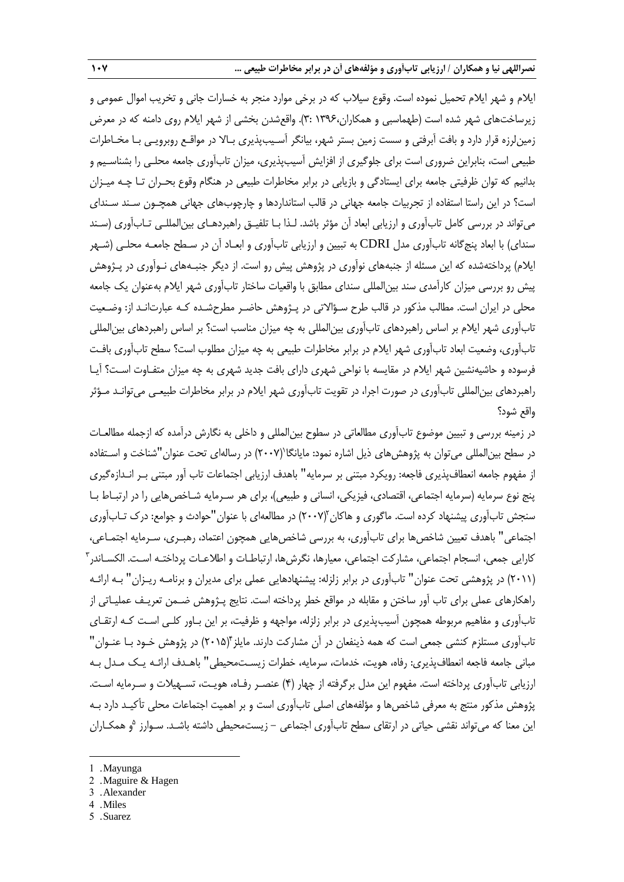ایالم و شهر ایالم تحمیل نموده است. وقوع سیالب که در برخی موارد منجر به خسارات جانی و تخریب اموال عمومی و زیرساختهای شهر شده است (طهماسبی و همکاران،۱۳۹۶ :۳). واقعشدن بخشی از شهر ایلام روی دامنه که در معرض زمینلرزه قرار دارد و بافت آبرفتی و سست زمین بستر شهر، بیانگر آسـیبپذیری بـاال در مواقـع روبرویـی بـا مخـاطرات طبیعی است، بنابراین ضروری است برای جلوگیری از افزایش آسیبپذیری، میزان تابآوری جامعه محلـی را بشناسـیم و بدانیم که توان ظرفیتی جامعه برای ایستادگی و بازیابی در برابر مخاطرات طبیعی در هنگام وقوع بحـران تـا چـه میـزان است؟ در این راستا استفاده از تجربیات جامعه جهانی در قالب استانداردها و چارچوبهای جهانی همچـون سـند سـندای میتواند در بررسی کامل تابآوری و ارزیابی ابعاد آن مؤثر باشد. لـذا بـا تلفیـق راهبردهـای بینالمللـی تـابآوری )سـند سندای) با ابعاد پنجگانه تابآوری مدل CDRI به تبیین و ارزیابی تابآوری و ابعـاد آن در سـطح جامعـه محلـی (شـهر ایلام) پرداختهشده که این مسئله از جنبههای نوآوری در پژوهش پیش رو است. از دیگر جنبـههای نـوآوری در پـژوهش پیش رو بررسی میزان کارآمدی سند بینالمللی سندای مطابق با واقعیات ساختار تابآوری شهر ایالم بهعنوان یک جامعه محلی در ایران است. مطالب مذکور در قالب طرح سـؤاالتی در پـژوهش حاضـر مطرحشـده کـه عبارتانـد از: وضـعیت تابآوری شهر ایالم بر اساس راهبردهای تابآوری بینالمللی به چه میزان مناسب است؟ بر اساس راهبردهای بینالمللی تابآوری، وضعیت ابعاد تابآوری شهر ایالم در برابر مخاطرات طبیعی به چه میزان مطلوب است؟ سطح تابآوری بافـت فرسوده و حاشیهنشین شهر ایالم در مقایسه با نواحی شهری دارای بافت جدید شهری به چه میزان متفـاوت اسـت؟ آیـا راهبردهای بینالمللی تابآوری در صورت اجرا، در تقویت تابآوری شهر ایالم در برابر مخاطرات طبیعـی میتوانـد مـؤثر واقع شود؟

در زمینه بررسی و تبیین موضوع تابآوری مطالعاتی در سطوح بینالمللی و داخلی به نگارش درآمده که ازجمله مطالعـات در سطح بین|لمللی میتوان به پژوهش۱عای ذیل اشاره نمود: مایانگا`(۲۰۰۷) در رسالهای تحت عنوان"شناخت و اسـتفاده از مفهوم جامعه انعطافپذیری فاجعه: رویکرد مبتنی بر سرمایه" باهدف ارزیابی اجتماعات تاب آور مبتنی بـر انـدازهگیری پنج نوع سرمایه (سرمایه اجتماعی، اقتصادی، فیزیکی، انسانی و طبیعی)، برای هر سـرمایه شـاخصهایی را در ارتبـاط بـا سنجش تابآوری پیشنهاد کرده است. ماگوری و هاکان (۲۰۰۷) در مطالعهای با عنوان "حوادث و جوامع: درک تـابآوری اجتماعی" باهدف تعیین شاخصها برای تابآوری، به بررسی شاخصهایی همچون اعتماد، رهبـری، سـرمایه اجتمـاعی، 3 کارایی جمعی، انسجام اجتماعی، مشارکت اجتماعی، معیارها، نگرشها، ارتباطـات و اطالعـات پرداختـه اسـت. الکسـاندر )2011( در پژوهشی تحت عنوان" تابآوری در برابر زلزله: پیشنهادهایی عملی برای مدیران و برنامـه ریـزان" بـه ارائـه راهکارهای عملی برای تاب آور ساختن و مقابله در مواقع خطر پرداخته است. نتایج پـژوهش ضـمن تعریـف عملیـاتی از تابآوری و مفاهیم مربوطه همچون آسیبپذیری در برابر زلزله، مواجهه و ظرفیت، بر این بـاور کلـی اسـت کـه ارتقـای تابآوری مستلزم کنشی جمعی است که همه ذینفعان در آن مشارکت دارند. مایلز ۲۰۱۵) در پژوهش خـود بـا عنـوان " مبانی جامعه فاجعه انعطافپذیری: رفاه، هویت، خدمات، سرمایه، خطرات زیسـتمحیطی" باهـدف ارائـه یـک مـدل بـه ارزیابی تابآوری پرداخته است. مفهوم این مدل برگرفته از چهار )4( عنصـر رفـاه، هویـت، تسـهیالت و سـرمایه اسـت. پژوهش مذکور منتج به معرفی شاخصها و مؤلفههای اصلی تابآوری است و بر اهمیت اجتماعات محلی تأکیـد دارد بـه 5 این معنا که میتواند نقشی حیاتی در ارتقای سطح تابآوری اجتماعی - زیستمحیطی داشته باشـد. سـوارز و همکـاران

**.** 

- 2 . Maguire & Hagen
- 3 . Alexander
- 4 . Miles
- 5 . Suarez

<sup>1</sup> . Mayunga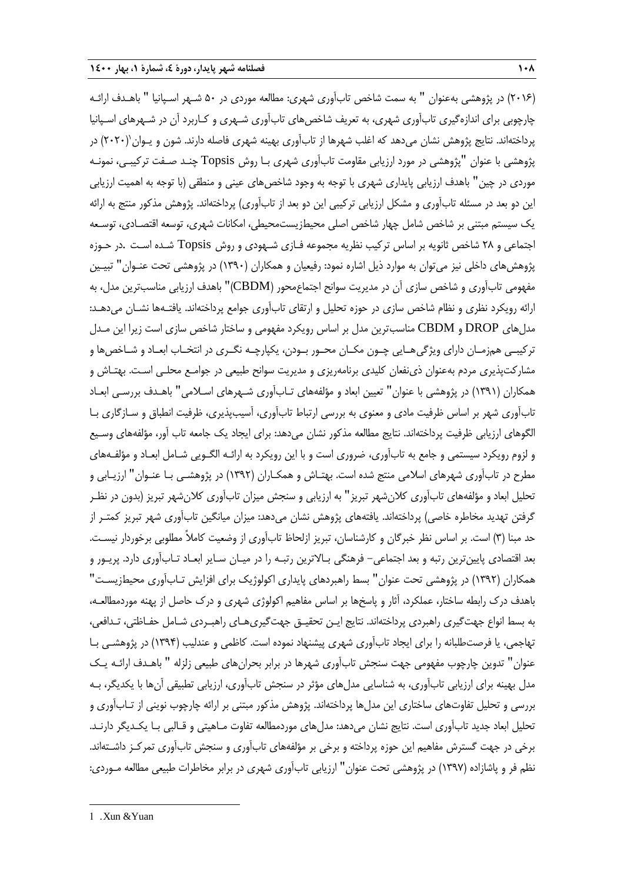)2016( در پژوهشی بهعنوان " به سمت شاخص تابآوری شهری: مطالعه موردی در 50 شـهر اسـپانیا " باهـدف ارائـه چارچوبی برای اندازهگیری تابآوری شهری، به تعریف شاخصهای تابآوری شـهری و کـاربرد آن در شـهرهای اسـپانیا پرداختهاند. نتایج پژوهش نشان میدهد که اغلب شهرها از تابآوری بهینه شهری فاصله دارند. شون و یـوان $(\mathsf{Y}\textnormal{\texttt{F}}\mathsf{\texttt{F}}\mathsf{\texttt{F}}\mathsf{\texttt{F}}\mathsf{\texttt{F}}\mathsf{\texttt{F}}$  در پژوهشی با عنوان "پژوهشی در مورد ارزیابی مقاومت تابآوری شهری بـا روش Topsis چنـد صـفت ترکیبـی، نمونـه موردی در چین" باهدف ارزیابی پایداری شهری با توجه به وجود شاخصهای عینی و منطقی )با توجه به اهمیت ارزیابی این دو بعد در مسئله تابآوری و مشکل ارزیابی ترکیبی این دو بعد از تابآوری) پرداختهاند. پژوهش مذکور منتج به ارائه یک سیستم مبتنی بر شاخص شامل چهار شاخص اصلی محیطزیستمحیطی، امکانات شهری، توسعه اقتصـادی، توسـعه اجتماعی و 28 شاخص ثانویه بر اساس ترکیب نظریه مجموعه فـازی شـهودی و روش Topsis شـده اسـت .در حـوزه پژوهشهای داخلی نیز میتوان به موارد ذیل اشاره نمود: رفیعیان و همکاران )1390( در پژوهشی تحت عنـوان" تبیـین مفهومی تابآوری و شاخص سازی آن در مدیریت سوانح اجتماعمحور )CBDM ")باهدف ارزیابی مناسبترین مدل، به ارائه رویکرد نظری و نظام شاخص سازی در حوزه تحلیل و ارتقای تابآوری جوامع پرداختهاند. یافتـهها نشـان میدهـد: مدلهای DROP و CBDM مناسبترین مدل بر اساس رویکرد مفهومی و ساختار شاخص سازی است زیرا این مـدل ترکیبـی همزمـان دارای ویژگیهـایی چـون مکـان محـور بـودن، یکپارچـه نگـری در انتخـاب ابعـاد و شـاخصها و مشارکتپذیری مردم بهعنوان ذینفعان کلیدی برنامهریزی و مدیریت سوانح طبیعی در جوامـع محلـی اسـت. بهتـاش و همکاران )1391( در پژوهشی با عنوان" تعیین ابعاد و مؤلفههای تـابآوری شـهرهای اسـالمی" باهـدف بررسـی ابعـاد تابآوری شهر بر اساس ظرفیت مادی و معنوی به بررسی ارتباط تابآوری، آسیبپذیری، ظرفیت انطباق و سـازگاری بـا الگوهای ارزیابی ظرفیت پرداختهاند. نتایج مطالعه مذکور نشان میدهد: برای ایجاد یک جامعه تاب آور، مؤلفههای وسـیع و لزوم رویکرد سیستمی و جامع به تابآوری، ضروری است و با این رویکرد به ارائـه الگـویی شـامل ابعـاد و مؤلفـههای مطرح در تابآوری شهرهای اسالمی منتج شده است. بهتـاش و همکـاران )1392( در پژوهشـی بـا عنـوان" ارزیـابی و تحلیل ابعاد و مؤلفههای تابآوری کالنشهر تبریز" به ارزیابی و سنجش میزان تابآوری کالنشهر تبریز )بدون در نظـر گرفتن تهدید مخاطره خاصی) پرداختهاند. یافتههای پژوهش نشان میدهد: میزان میانگین تابآوری شهر تبریز کمتـر از حد مبنا (٣) است. بر اساس نظر خبرگان و کارشناسان، تبریز ازلحاظ تابآوری از وضعیت کاملاً مطلوبی برخوردار نیسـت. بعد اقتصادی پایینترین رتبه و بعد اجتماعی- فرهنگی بـاالترین رتبـه را در میـان سـایر ابعـاد تـابآوری دارد. پریـور و همکاران (۱۳۹۲) در پژوهشی تحت عنوان" بسط راهبردهای پایداری اکولوژیک برای افزایش تـابآوری محیطزیسـت" باهدف درك رابطه ساختار، عملکرد، آثار و پاسخها بر اساس مفاهیم اکولوژی شهری و درك حاصل از پهنه موردمطالعـه، به بسط انواع جهتگیری راهبردی پرداختهاند. نتایج ایـن تحقیـق جهتگیریهـای راهبـردی شـامل حفـاظتی، تـدافعی، تهاجمی، یا فرصتطلبانه را برای ایجاد تابآوری شهری پیشنهاد نموده است. کاظمی و عندلیب )1394( در پژوهشـی بـا عنوان" تدوین چارچوب مفهومی جهت سنجش تابآوری شهرها در برابر بحرانهای طبیعی زلزله " باهـدف ارائـه یـک مدل بهینه برای ارزیابی تابآوری، به شناسایی مدلهای مؤثر در سنجش تابآوری، ارزیابی تطبیقی آنها با یکدیگر، بـه بررسی و تحلیل تفاوتهای ساختاری این مدلها پرداختهاند. پژوهش مذکور مبتنی بر ارائه چارچوب نوینی از تـابآوری و تحلیل ابعاد جدید تابآوری است. نتایج نشان میدهد: مدلهای موردمطالعه تفاوت مـاهیتی و قـالبی بـا یکـدیگر دارنـد. برخی در جهت گسترش مفاهیم این حوزه پرداخته و برخی بر مؤلفههای تابآوری و سنجش تابآوری تمرکـز داشـتهاند. نظم فر و پاشازاده )1397( در پژوهشی تحت عنوان" ارزیابی تابآوری شهری در برابر مخاطرات طبیعی مطالعه مـوردی:

-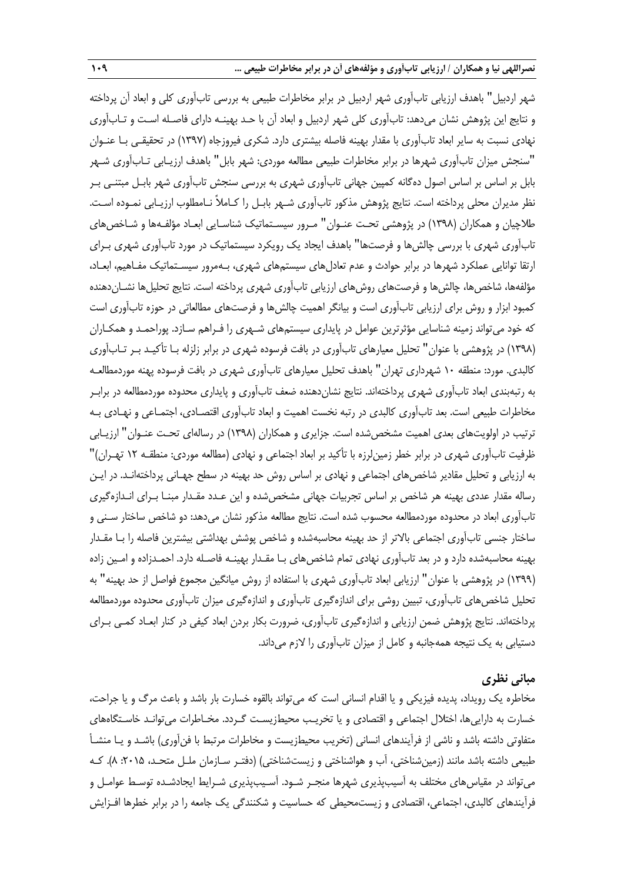شهر اردبیل" باهدف ارزیابی تابآوری شهر اردبیل در برابر مخاطرات طبیعی به بررسی تابآوری کلی و ابعاد آن پرداخته و نتایج این پژوهش نشان میدهد: تابآوری کلی شهر اردبیل و ابعاد آن با حـد بهینـه دارای فاصـله اسـت و تـابآوری نهادی نسبت به سایر ابعاد تابآوری با مقدار بهینه فاصله بیشتری دارد. شکری فیروزجاه )1397( در تحقیقـی بـا عنـوان "سنجش میزان تابآوری شهرها در برابر مخاطرات طبیعی مطالعه موردی: شهر بابل" باهدف ارزیـابی تـابآوری شـهر بابل بر اساس بر اساس اصول دهگانه کمپین جهانی تابآوری شهری به بررسی سنجش تابآوری شهر بابـل مبتنـی بـر نظر مدیران محلی پرداخته است. نتایج پژوهش مذکور تابآوری شـهر بابـل را کـامالً نـامطلوب ارزیـابی نمـوده اسـت. طالچیان و همکاران )1398( در پژوهشی تحـت عنـوان" مـرور سیسـتماتیک شناسـایی ابعـاد مؤلفـهها و شـاخصهای تابآوری شهری با بررسی چالشها و فرصتها" باهدف ایجاد یک رویکرد سیستماتیک در مورد تابآوری شهری بـرای ارتقا توانایی عملکرد شهرها در برابر حوادث و عدم تعادلهای سیستمهای شهری، بـهمرور سیسـتماتیک مفـاهیم، ابعـاد، مؤلفهها، شاخصها، چالشها و فرصتهای روشهای ارزیابی تابآوری شهری پرداخته است. نتایج تحلیلها نشـاندهنده کمبود ابزار و روش برای ارزیابی تابآوری است و بیانگر اهمیت چالشها و فرصتهای مطالعاتی در حوزه تابآوری است که خود میتواند زمینه شناسایی مؤثرترین عوامل در پایداری سیستمهای شـهری را فـراهم سـازد. پوراحمـد و همکـاران )1398( در پژوهشی با عنوان" تحلیل معیارهای تابآوری در بافت فرسوده شهری در برابر زلزله بـا تأکیـد بـر تـابآوری کالبدی. مورد: منطقه 10 شهرداری تهران" باهدف تحلیل معیارهای تابآوری شهری در بافت فرسوده پهنه موردمطالعـه به رتبهبندی ابعاد تابآوری شهری پرداختهاند. نتایج نشاندهنده ضعف تابآوری و پایداری محدوده موردمطالعه در برابـر مخاطرات طبیعی است. بعد تابآوری کالبدی در رتبه نخست اهمیت و ابعاد تابآوری اقتصـادی، اجتمـاعی و نهـادی بـه ترتیب در اولویتهای بعدی اهمیت مشخصشده است. جزایری و همکاران )1398( در رسالهای تحـت عنـوان" ارزیـابی ظرفیت تابآوری شهری در برابر خطر زمین لرزه با تأکید بر ابعاد اجتماعی و نهادی (مطالعه موردی: منطقـه ١٢ تهـران)" به ارزیابی و تحلیل مقادیر شاخصهای اجتماعی و نهادی بر اساس روش حد بهینه در سطح جهـانی پرداختهانـد. در ایـن رساله مقدار عددی بهینه هر شاخص بر اساس تجربیات جهانی مشخصشده و این عـدد مقـدار مبنـا بـرای انـدازهگیری تابآوری ابعاد در محدوده موردمطالعه محسوب شده است. نتایج مطالعه مذکور نشان میدهد: دو شاخص ساختار سـنی و ساختار جنسی تابآوری اجتماعی باالتر از حد بهینه محاسبهشده و شاخص پوشش بهداشتی بیشترین فاصله را بـا مقـدار بهینه محاسبهشده دارد و در بعد تابآوری نهادی تمام شاخصهای بـا مقـدار بهینـه فاصـله دارد. احمـدزاده و امـین زاده )1399( در پژوهشی با عنوان" ارزیابی ابعاد تابآوری شهری با استفاده از روش میانگین مجموع فواصل از حد بهینه" به تحلیل شاخصهای تابآوری، تبیین روشی برای اندازهگیری تابآوری و اندازهگیری میزان تابآوری محدوده موردمطالعه پرداختهاند. نتایج پژوهش ضمن ارزیابی و اندازهگیری تابآوری، ضرورت بکار بردن ابعاد کیفی در کنار ابعـاد کمـی بـرای دستیابی به یک نتیجه همهجانبه و کامل از میزان تابآوری را الزم میداند.

#### **مبانی نظری**

مخاطره یک رویداد، پدیده فیزیکی و یا اقدام انسانی است که میتواند بالقوه خسارت بار باشد و باعث مرگ و یا جراحت، خسارت به داراییها، اختلال اجتماعی و اقتصادی و یا تخریـب محیطزیسـت گـردد. مخـاطرات می¤وانـد خاسـتگاههای متفاوتی داشته باشد و ناشی از فرآیندهای انسانی (تخریب محیطزیست و مخاطرات مرتبط با فنآوری) باشـد و یـا منشـأ طبیعی داشته باشد مانند (زمینشناختی، آب و هواشناختی و زیستشناختی) (دفتـر سـازمان ملـل متحـد، ۲۰۱۵: ۸). کـه میتواند در مقیاسهای مختلف به آسیبپذیری شهرها منجـر شـود. آسـیبپذیری شـرایط ایجادشـده توسـط عوامـل و فرآیندهای کالبدی، اجتماعی، اقتصادی و زیستمحیطی که حساسیت و شکنندگی یک جامعه را در برابر خطرها افـزایش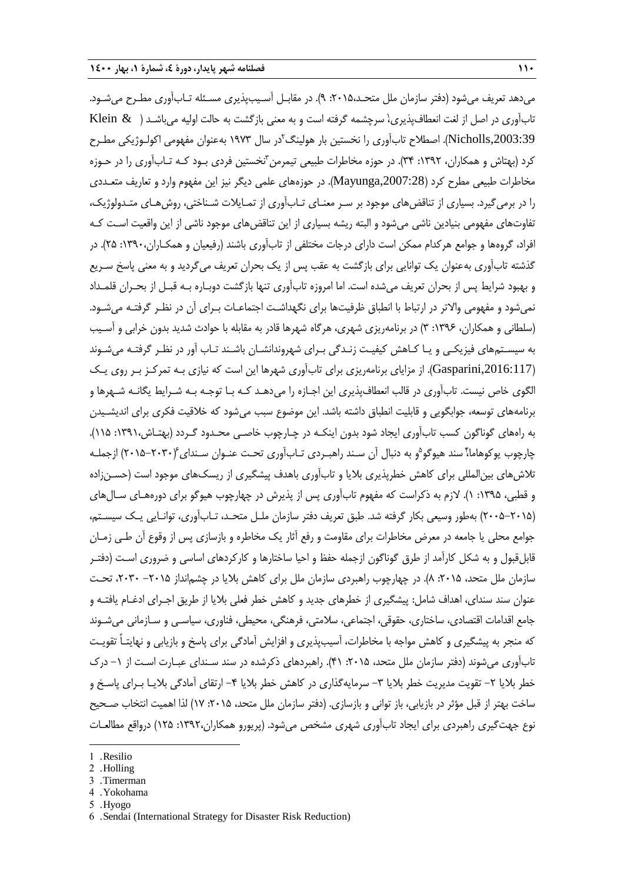می دهد تعریف می شود (دفتر سازمان ملل متحـد،۲۰۱۵، ۹). در مقابـل آسـیبپذیری مسـئله تـابآوری مطـرح می شـود. تابآوری در اصل از لغت انعطاف پذیری، سرچشمه گرفته است و به معنی بازگشت به حالت اولیه می باشـد ( Klein & Nicholls,2003:39). اصطلاح تابآوری را نخستین بار هولینگ<sup>۲</sup>در سال ۱۹۷۳ بهعنوان مفهومی اکولـوژیکی مطـرح کرد (بهتاش و همکاران، ۱۳۹۲: ۳۴). در حوزه مخاطرات طبیعی تیمرمن ٌنخستین فردی بـود کـه تـابآوری را در حـوزه مخاطرات طبیعی مطرح کرد ),2007:28Mayunga). در حوزههای علمی دیگر نیز این مفهوم وارد و تعاریف متعـددی را در برمیگیرد. بسیاری از تناقضهای موجود بر سـر معنـای تـابآوری از تمـایالت شـناختی، روشهـای متـدولوژیک، تفاوتهای مفهومی بنیادین ناشی میشود و البته ریشه بسیاری از این تناقضهای موجود ناشی از این واقعیت اسـت کـه افراد، گروهها و جوامع هرکدام ممکن است دارای درجات مختلفی از تابآوری باشند )رفیعیان و همکـاران:1390، 25(. در گذشته تابآوری بهعنوان یک توانایی برای بازگشت به عقب پس از یک بحران تعریف میگردید و به معنی پاسخ سـریع و بهبود شرایط پس از بحران تعریف میشده است. اما امروزه تابآوری تنها بازگشت دوبـاره بـه قبـل از بحـران قلمـداد نمی شود و مفهومی والاتر در ارتباط با انطباق ظرفیتها برای نگهداشـت اجتماعـات بـرای آن در نظـر گرفتـه می شـود. (سلطانی و همکاران، ۱۳۹۶: ۳) در برنامهریزی شهری، هرگاه شهرها قادر به مقابله با حوادث شدید بدون خرابی و آسـیب به سیسـتمهای فیزیکـی و یـا کـاهش کیفیـت زنـدگی بـرای شهروندانشـان باشـند تـاب آور در نظـر گرفتـه میشـوند ),2016:117Gasparini). از مزایای برنامهریزی برای تابآوری شهرها این است که نیازی بـه تمرکـز بـر روی یـک الگوی خاص نیست. تابآوری در قالب انعطافپذیری این اجـازه را میدهـد کـه بـا توجـه بـه شـرایط یگانـه شـهرها و برنامههای توسعه، جوابگویی و قابلیت انطباق داشته باشد. این موضوع سبب میشود که خالقیت فکری برای اندیشـیدن به راههای گوناگون کسب تابآوری ایجاد شود بدون اینکـه در چـارچوب خاصـی محـدود گـردد )بهتـاش:1391، 115(. چارچوب یوکوهاما،ٔ سند هیوگو<sup>۵</sup>و به دنبال اَن سـند راهبـردی تـابااَوری تحـت عنـوان سـندای۴۰۳۰-۲۰۱۵) ازجملـه تالشهای بینالمللی برای کاهش خطرپذیری بالیا و تابآوری باهدف پیشگیری از ریسکهای موجود است )حسـنزاده و قطبی، ۱۳۹۵: ۱). لازم به ذکراست که مفهوم تابآوری پس از پذیرش در چهارچوب هیوگو برای دورههـای سـالهای )2005-2015( بهطور وسیعی بکار گرفته شد. طبق تعریف دفتر سازمان ملـل متحـد، تـابآوری، توانـایی یـک سیسـتم، جوامع محلی یا جامعه در معرض مخاطرات برای مقاومت و رفع آثار یک مخاطره و بازسازی پس از وقوع آن طـی زمـان قابلقبول و به شکل کارآمد از طرق گوناگون ازجمله حفظ و احیا ساختارها و کارکردهای اساسی و ضروری اسـت )دفتـر سازمان ملل متحد، ۲۰۱۵: ۸). در چهارچوب راهبردی سازمان ملل برای کاهش بلایا در چشمانداز ۲۰۱۵– ۲۰۳۰، تحت عنوان سند سندای، اهداف شامل: پیشگیری از خطرهای جدید و کاهش خطر فعلی بالیا از طریق اجـرای ادرـام یافتـه و جامع اقدامات اقتصادی، ساختاری، حقوقی، اجتماعی، سالمتی، فرهنگی، محیطی، فناوری، سیاسـی و سـازمانی میشـوند که منجر به پیشگیری و کاهش مواجه با مخاطرات، آسیبپذیری و افزایش آمادگی برای پاسخ و بازیابی و نهایتـاً تقویـت تابآوری می شوند (دفتر سازمان ملل متحد، ۲۰۱۵: ۴۱). راهبردهای ذکرشده در سند سـندای عبـارت اسـت از ۱– درک خطر بلایا ۲– تقویت مدیریت خطر بلایا ۳– سرمایهگذاری در کاهش خطر بلایا ۴– ارتقای آمادگی بلایـا بـرای پاسـخ و ساخت بهتر از قبل مؤثر در بازیابی، باز توانی و بازسازی. (دفتر سازمان ملل متحد، ۲۰۱۵: ۱۷) لذا اهمیت انتخاب صـحیح نوع جهت گیری راهبردی برای ایجاد تابآوری شهری مشخص میشود. (پریورو همکاران،۱۳۹۲: ۱۲۵) درواقع مطالعـات

1

- 4 . Yokohama
- 5 . Hyogo

<sup>1</sup> . Resilio

<sup>2</sup> . Holling

<sup>3</sup> . Timerman

<sup>6</sup> . Sendai (International Strategy for Disaster Risk Reduction)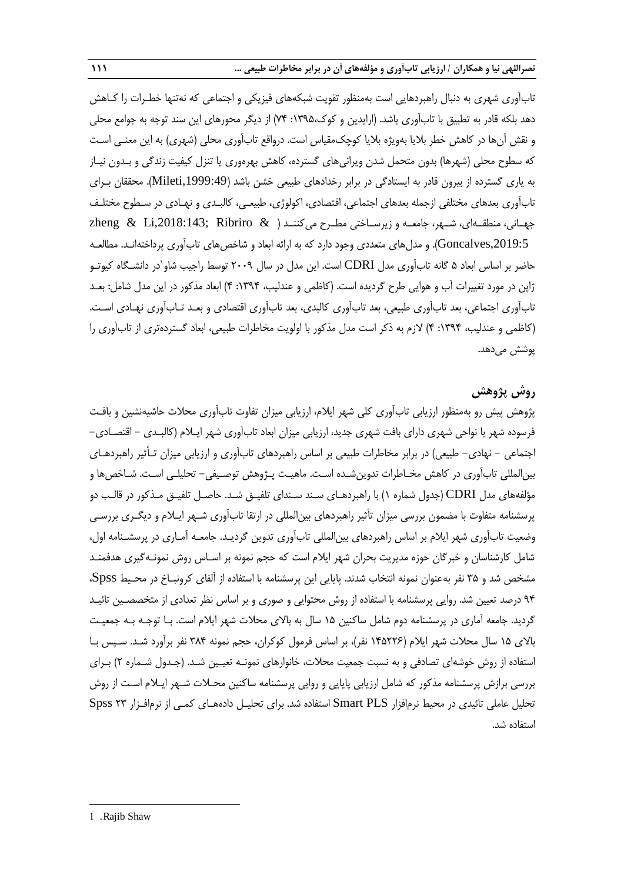تابآوری شهری به دنبال راهبردهایی است بهمنظور تقویت شبکههای فیزیکی و اجتماعی که نهتنها خطـرات را کـاهش دهد بلکه قادر به تطبیق با تابآوری باشد. (ارایدین و کوک،۱۳۹۵: ۷۴) از دیگر محورهای این سند توجه به جوامع محلی و نقش آنها در کاهش خطر بلایا بهویژه بلایا کوچک،مقیاس است. درواقع تابآوری محلی (شهری) به این معنـی اسـت که سطوح محلی (شهرها) بدون متحمل شدن ویرانیهای گسترده، کاهش بهرهوری یا تنزل کیفیت زندگی و بـدون نیـاز به یاری گسترده از بیرون قادر به ایستادگی در برابر رخدادهای طبیعی خشن باشد ),1999:49Mileti). محققان بـرای تابآوری بعدهای مختلفی ازجمله بعدهای اجتماعی، اقتصادی، اکولوژی، طبیعـی، کالبـدی و نهـادی در سـطوح مختلـف جهـانی، منطقــهای، شــهر، جامعــه و زیرســاختی مطــرح میکننــد ( & zheng & Li,2018:143; Ribriro ,2019:5Goncalves). و مدلهای متعددی وجود دارد که به ارائه ابعاد و شاخصهای تابآوری پرداختهانـد. مطالعـه حاضر بر اساس ابعاد ۵ گانه تابآوری مدل CDRI است. این مدل در سال ۲۰۰۹ توسط راجیب شاو<sup>י</sup>در دانشـگاه کیوتـو ژاپن در مورد تغییرات آب و هوایی طرح گردیده است. (کاظمی و عندلیب، ۱۳۹۴: ۴) ابعاد مذکور در این مدل شامل: بعـد تابآوری اجتماعی، بعد تابآوری طبیعی، بعد تابآوری کالبدی، بعد تابآوری اقتصادی و بعـد تـابآوری نهـادی اسـت. )کاظمی و عندلیب، :1394 4( الزم به ذکر است مدل مذکور با اولویت مخاطرات طبیعی، ابعاد گستردهتری از تابآوری را پوشش میدهد.

## **روش پژوهش**

پژوهش پیش رو بهمنظور ارزیابی تابآوری کلی شهر ایالم، ارزیابی میزان تفاوت تابآوری محالت حاشیهنشین و بافـت فرسوده شهر با نواحی شهری دارای بافت شهری جدید، ارزیابی میزان ابعاد تابآوری شهر ایـالم )کالبـدی - اقتصـادی- اجتماعی – نهادی– طبیعی) در برابر مخاطرات طبیعی بر اساس راهبردهای تابآوری و ارزیابی میزان تـأثیر راهبردهـای بینالمللی تابآوری در کاهش مخـاطرات تدوینشـده اسـت. ماهیـت پـژوهش توصـیفی- تحلیلـی اسـت. شـاخصها و مؤلفههای مدل CDRI( جدول شماره 1( با راهبردهـای سـند سـندای تلفیـق شـد. حاصـل تلفیـق مـذکور در قالـب دو پرسشنامه متفاوت با مضمون بررسی میزان تأثیر راهبردهای بینالمللی در ارتقا تابآوری شـهر ایـالم و دیگـری بررسـی وضعیت تابآوری شهر ایالم بر اساس راهبردهای بینالمللی تابآوری تدوین گردیـد. جامعـه آمـاری در پرسشـنامه اول، شامل کارشناسان و خبرگان حوزه مدیریت بحران شهر ایالم است که حجم نمونه بر اسـاس روش نمونـهگیری هدفمنـد مشخص شد و ۳۵ نفر بهعنوان نمونه انتخاب شدند. پایایی این پرسشنامه با استفاده از آلفای کرونبـاخ در محـیط Spss، 94 درصد تعیین شد. روایی پرسشنامه با استفاده از روش محتوایی و صوری و بر اساس نظر تعدادی از متخصصـین تائیـد گردید. جامعه آماری در پرسشنامه دوم شامل ساکنین 15 سال به باالی محالت شهر ایالم است. بـا توجـه بـه جمعیـت باالی 15 سال محالت شهر ایالم )145226 نفر(، بر اساس فرمول کوکران، حجم نمونه 384 نفر برآورد شـد. سـپس بـا استفاده از روش خوشهای تصادفی و به نسبت جمعیت محالت، خانوارهای نمونـه تعیـین شـد. )جـدول شـماره 2( بـرای بررسی برازش پرسشنامه مذکور که شامل ارزیابی پایایی و روایی پرسشنامه ساکنین محـالت شـهر ایـالم اسـت از روش تحلیل عاملی تائیدی در محیط نرمافزار Smart PLS استفاده شد. برای تحلیـل دادههـای کمـی از نرمافـزار ٢٣ Spss استفاده شد.

-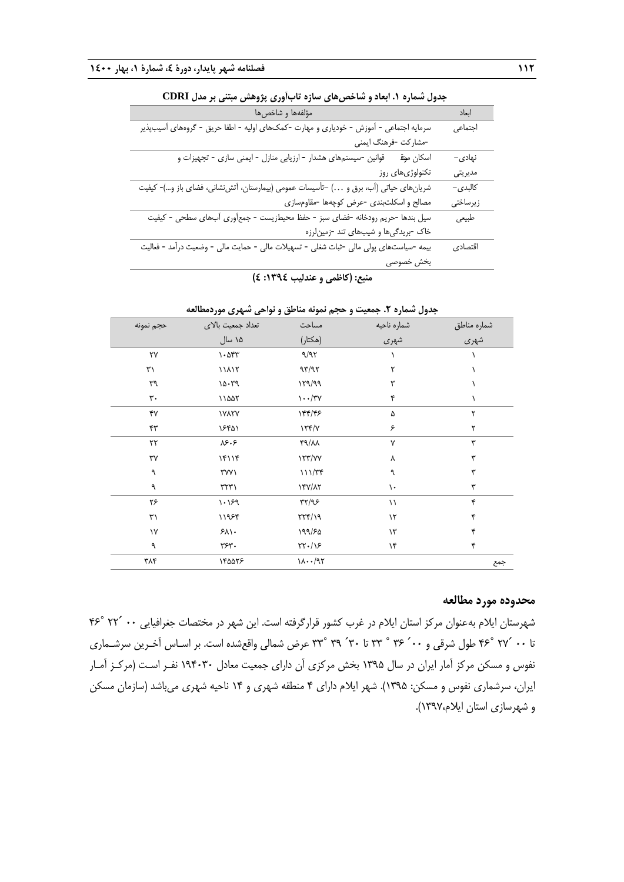| مؤلفهها و شاخصها                                                                       | ابعاد    |
|----------------------------------------------------------------------------------------|----------|
| سرمایه اجتماعی - آموزش - خودیاری و مهارت -کمک&ای اولیه - اطفا حریق - گروههای آسیبپذیر  | اجتماعى  |
| -مشاركت -فرهنگ ايمني                                                                   |          |
| قوانین -سیستمهای هشدار - ارزیابی منازل - ایمنی سازی - تجهیزات و<br>اسكان موق           | نهادی–   |
| تکنولوژیهای روز                                                                        | مديريتي  |
| شریانهای حیاتی (آب، برق و ) –تأسیسات عمومی (بیمارستان، آتشiشانی، فضای باز و…)- کیفیت   | کالېدى–  |
| مصالح و اسکلتبندی -عرض کوچهها -مقاومسازی                                               | زيرساختى |
| سیل بندها -حریم رودخانه -فضای سبز - حفظ محیطزیست - جمع[وری آبهای سطحی - کیفیت          | طبيعي    |
| خاک -بریدگیها و شیبهای تند -زمین لرزه                                                  |          |
| بیمه -سیاستهای پولی مالی -ثبات شغلی - تسهیلات مالی - حمایت مالی - وضعیت درآمد - فعالیت | اقتصادي  |
| بخش خصوصى                                                                              |          |
|                                                                                        |          |

| جدول شماره ۱. ابعاد و شاخصهای سازه تابآوری پژوهش مبتنی بر مدل CDRI |  |  |  |
|--------------------------------------------------------------------|--|--|--|
|--------------------------------------------------------------------|--|--|--|

**منبع: )کاظمی و عندلیب :1394 4(**

|              |                         |                     | جنون تنسره ۰٫۰ جنسیت و خانبی شونه شدخی و تر خانبی شهری تنزد |                     |
|--------------|-------------------------|---------------------|-------------------------------------------------------------|---------------------|
| حجم نمونه    | تعداد جمعیت بالای       | مساحت               | شماره ناحيه                                                 |                     |
|              | ۱۵ سال                  | (هكتار)             | شهری                                                        | شماره مناطق<br>شهري |
| ٢٧           | $\cdot$ $\circ$ $\circ$ | 9/97                |                                                             |                     |
| ٣١           | 11117                   | 97/97               | ٢                                                           |                     |
| ٣٩           | 10.79                   | ۱۳۹/۹۹              | ٣                                                           |                     |
| ٣٠           | ١١۵۵٢                   | $\cdots$ /۳۷        | ۴                                                           |                     |
| ۴٧           | <b><i>IVATY</i></b>     | 144/45              | ۵                                                           | ٢                   |
| ۴٣           | ۱۶۴۵۱                   | $\frac{1}{\gamma}$  | ۶                                                           | ٢                   |
| $\mathbf{r}$ | $\lambda$ ۶۰۶           | $f9/\lambda\lambda$ | ٧                                                           | ٣                   |
| ٣٧           | ۱۴۱۱۴                   | 177/YY              | ٨                                                           | ٣                   |
| ٩            | ۳۷۷۱                    | 111/Tf              | ٩                                                           | ٣                   |
| ٩            | $\Gamma$                | 147/17              | ١.                                                          | ٣                   |
| ۲۶           | 1.199                   | $\tau\tau/95$       | $\setminus$                                                 | ۴                   |
| ٣١           | ۱۱۹۶۴                   | 777/19              | $\mathcal{N}$                                               | ۴                   |
| ١٧           | $5\lambda$              | ۱۹۹/۶۵              | $\gamma$ ۳                                                  | ۴                   |
| ٩            | ٣۶٣.                    | $\frac{1}{2}$       | ۱۴                                                          | ۴                   |
| ۳۸۴          | ١۴۵۵٢۶                  | 11.197              |                                                             | جمع                 |
|              |                         |                     |                                                             |                     |

## **جدول شماره .2 جمعیت و حجم نمونه مناطق و نواحی شهری موردمطالعه**

### **محدوده مورد مطالعه**

شهرستان ایلام به عنوان مرکز استان ایلام در غرب کشور قرارگرفته است. این شهر در مختصات جغرافیایی ۰۰ ´۲۲ °۴۶ تا 00 ́27 ˚46 طول شرقی و 00́ 36 ˚ 33 تا 30́ 39 ˚33 عر شمالی واقعشده است. بر اسـاس آخـرین سرشـماری نفوس و مسکن مرکز آمار ایران در سال 1395 بخش مرکزی آن دارای جمعیت معادل 194030 نفـر اسـت )مرکـز آمـار ایران، سرشماری نفوس و مسکن: 1395(. شهر ایالم دارای 4 منطقه شهری و 14 ناحیه شهری میباشد )سازمان مسکن و شهرسازی استان ایالم1397،(.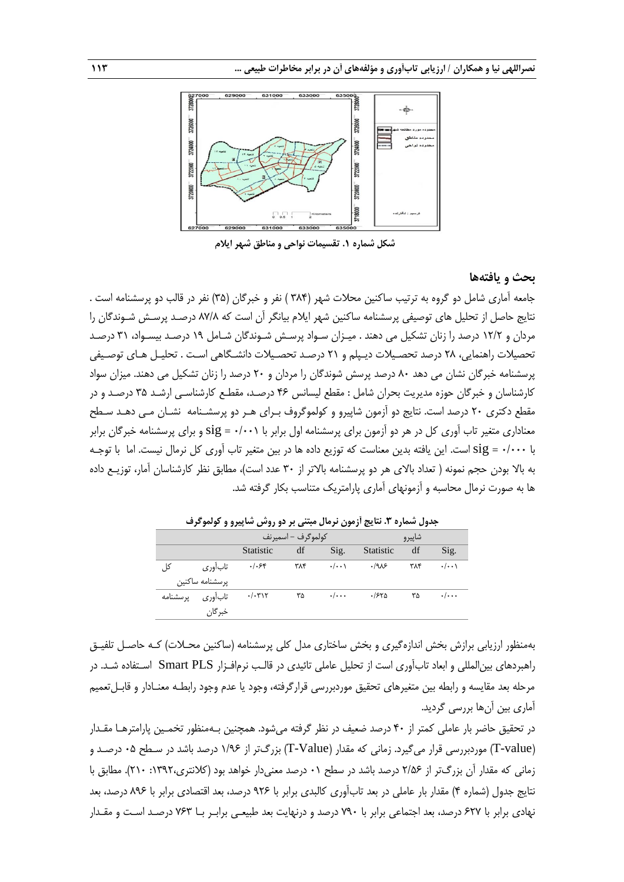

**شکل شماره .1 تقسیمات نواحی و مناطق شهر ایالم**

#### **بحث و یافتهها**

جامعه آماری شامل دو گروه به ترتیب ساکنین محلات شهر (۳۸۴ ) نفر و خبرگان (۳۵) نفر در قالب دو پرسشنامه است . نتایج حاصل از تحلیل های توصیفی پرسشنامه ساکنین شهر ایالم بیانگر آن است که 87/8 درصـد پرسـش شـوندگان را مردان و 12/2 درصد را زنان تشکیل می دهند . میـزان سـواد پرسـش شـوندگان شـامل 19 درصـد بیسـواد، 31 درصـد تحصیالت راهنمایی، 28 درصد تحصـیالت دیـپلم و 21 درصـد تحصـیالت دانشـگاهی اسـت . تحلیـل هـای توصـیفی پرسشنامه خبرگان نشان می دهد 80 درصد پرسش شوندگان را مردان و 20 درصد را زنان تشکیل می دهند. میزان سواد کارشناسان و خبرگان حوزه مدیریت بحران شامل : مقطع لیسانس 46 درصـد، مقطـع کارشناسـی ارشـد 35 درصـد و در مقطع دکتری 20 درصد است. نتایج دو آزمون شاپیرو و کولموگروف بـرای هـر دو پرسشـنامه نشـان مـی دهـد سـطح معناداری متغیر تاب آوری کل در هر دو آزمون برای پرسشنامه اول برابر با 0/001 = sig و برای پرسشنامه خبرگان برابر با 0/000 = sig است. این یافته بدین معناست که توزیع داده ها در بین متغیر تاب آوری کل نرمال نیست. اما با توجـه به باال بودن حجم نمونه ) تعداد باالی هر دو پرسشنامه باالتر از 30 عدد است(، مطابق نظر کارشناسان آمار، توزیـع داده ها به صورت نرمال محاسبه و آزمونهای آماری پارامتریک متناسب بکار گرفته شد.

|          |                 |           | كولموگرف – اسميرنف |                    |           | شاپيرو |                    |
|----------|-----------------|-----------|--------------------|--------------------|-----------|--------|--------------------|
|          |                 | Statistic | df                 | Sig.               | Statistic | df     | Sig.               |
| کا ،     | تاب آوری        | $.  .$ ۶۴ | ۳۸۴                | $\cdot/\cdot\cdot$ | .198      | ۳۸۴    | $\cdot/\cdot\cdot$ |
|          | پرسشنامه ساكنين |           |                    |                    |           |        |                    |
| پرسشنامه | تابأوري         | .7.717    | ۳۵                 | $\cdot/\cdot\cdot$ | .1580     | ۳۵     | $\cdot/\cdot\cdot$ |
|          | خبر گان         |           |                    |                    |           |        |                    |

**جدول شماره .3 نتایج آزمون نرمال مبتنی بر دو روش شاپیرو و کولموگرف**

بهمنظور ارزیابی برازش بخش اندازهگیری و بخش ساختاری مدل کلی پرسشنامه (ساکنین محـلات) کـه حاصـل تلفیـق راهبردهای بینالمللی و ابعاد تابآوری است از تحلیل عاملی تائیدی در قالـب نرمافـزار PLS Smart اسـتفاده شـد. در مرحله بعد مقایسه و رابطه بین متغیرهای تحقیق موردبررسی قرارگرفته، وجود یا عدم وجود رابطـه معنـادار و قابـلتعمیم آماری بین آنها بررسی گردید.

در تحقیق حاضر بار عاملی کمتر از 40 درصد ضعیف در نظر گرفته میشود. همچنین بـهمنظور تخمـین پارامترهـا مقـدار )value-T )موردبررسی قرار میگیرد. زمانی که مقدار )Value-T )بزرگتر از 1/96 درصد باشد در سـطح 05 درصـد و زمانی که مقدار آن بزرگتر از 2/56 درصد باشد در سطح 01 درصد معنیدار خواهد بود )کالنتری:1392، 210(. مطابق با نتایج جدول )شماره 4( مقدار بار عاملی در بعد تابآوری کالبدی برابر با 926 درصد، بعد اقتصادی برابر با 896 درصد، بعد نهادی برابر با 627 درصد، بعد اجتماعی برابر با 790 درصد و درنهایت بعد طبیعـی برابـر بـا 763 درصـد اسـت و مقـدار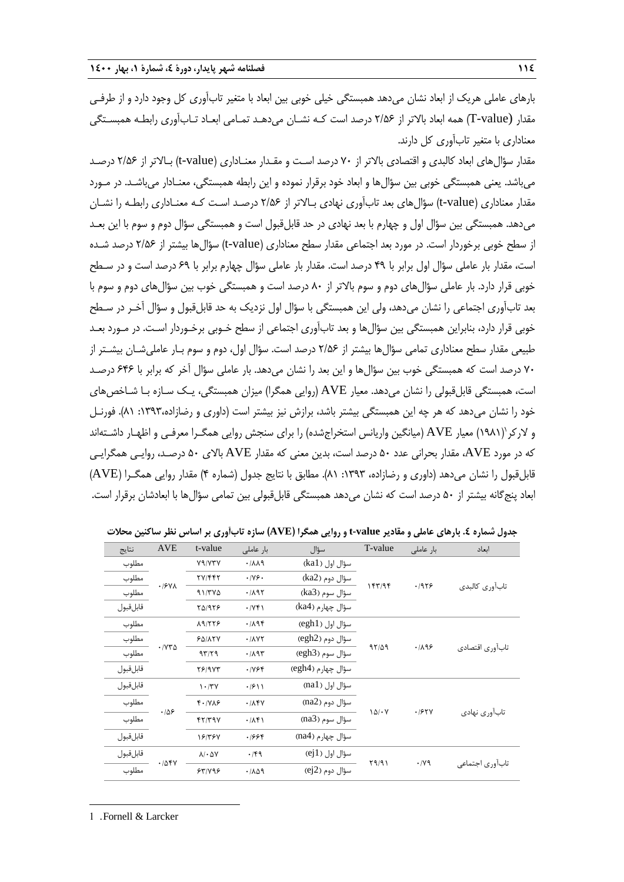بارهای عاملی هریک از ابعاد نشان میدهد همبستگی خیلی خوبی بین ابعاد با متغیر تابآوری کل وجود دارد و از طرفـی مقدار (value-T )همه ابعاد باالتر از 2/56 درصد است کـه نشـان میدهـد تمـامی ابعـاد تـابآوری رابطـه همبسـتگی معناداری با متغیر تابآوری کل دارند.

مقدار سؤالهای ابعاد کالبدی و اقتصادی باالتر از 70 درصد اسـت و مقـدار معنـاداری )value-t )بـاالتر از 2/56 درصـد میباشد. یعنی همبستگی خوبی بین سؤالها و ابعاد خود برقرار نموده و این رابطه همبستگی، معنـادار میباشـد. در مـورد مقدار معناداری )value-t )سؤالهای بعد تابآوری نهادی بـاالتر از 2/56 درصـد اسـت کـه معنـاداری رابطـه را نشـان میدهد. همبستگی بین سؤال اول و چهارم با بعد نهادی در حد قابلقبول است و همبستگی سؤال دوم و سوم با این بعـد از سطح خوبی برخوردار است. در مورد بعد اجتماعی مقدار سطح معناداری )value-t )سؤالها بیشتر از 2/56 درصد شـده است، مقدار بار عاملی سؤال اول برابر با 49 درصد است. مقدار بار عاملی سؤال چهارم برابر با 69 درصد است و در سـطح خوبی قرار دارد. بار عاملی سؤالهای دوم و سوم بالاتر از ۸۰ درصد است و همبستگی خوب بین سؤالهای دوم و سوم با بعد تابآوری اجتماعی را نشان میدهد، ولی این همبستگی با سؤال اول نزدیک به حد قابلقبول و سؤال آخـر در سـطح خوبی قرار دارد، بنابراین همبستگی بین سؤالها و بعد تابآوری اجتماعی از سطح خـوبی برخـوردار اسـت. در مـورد بعـد طبیعی مقدار سطح معناداری تمامی سؤالها بیشتر از 2/56 درصد است. سؤال اول، دوم و سوم بـار عاملیشـان بیشـتر از 70 درصد است که همبستگی خوب بین سؤالها و این بعد را نشان میدهد. بار عاملی سؤال آخر که برابر با 646 درصـد است، همبستگی قابلقبولی را نشان میدهد. معیار AVE( روایی همگرا( میزان همبستگی، یـک سـازه بـا شـاخصهای خود را نشان میدهد که هر چه این همبستگی بیشتر باشد، برازش نیز بیشتر است (داوری و رضازاده،۱۳۹۳: ۸۱). فورنـل و لارکر (۱۹۸۱) معیار AVE (میانگین واریانس استخراجشده) را برای سنجش روایی همگـرا معرفـی و اظهـار داشـتهاند که در مورد AVE، مقدار بحرانی عدد 50 درصد است، بدین معنی که مقدار AVE باالی 50 درصـد، روایـی همگرایـی قابل قبول را نشان میدهد (داوری و رضازاده، ۱۳۹۳: ۸۱). مطابق با نتایج جدول (شماره ۴) مقدار روایی همگـرا (AVE) ابعاد پنجگانه بیشتر از 50 درصد است که نشان میدهد همبستگی قابلقبولی بین تمامی سؤالها با ابعادشان برقرار است.

| نتايج     | <b>AVE</b>                           | t-value                     | بار عاملی             | سؤال                     | T-value | بار عاملی            | انعاد           |  |
|-----------|--------------------------------------|-----------------------------|-----------------------|--------------------------|---------|----------------------|-----------------|--|
| مطلوب     |                                      | V9/V۳V                      | .711                  | سؤال اول (ka1)           |         |                      |                 |  |
| مطلوب     |                                      | <b>TV/FFT</b>               | $\cdot$ /Y& $\cdot$   | سؤال دوم (ka2)           |         |                      |                 |  |
| مطلوب     | $\cdot$ / $\mathcal{F}$ Y $\wedge$   | $91/TY\Delta$               | $\cdot$ /195          | سؤال سوم (ka3)           | 157/95  | .1979                | تاب[وری کالبدی  |  |
| قابل قبول |                                      | 70/978                      | $\cdot$ /YF \         | سؤال چهارم (ka4)         |         |                      |                 |  |
| مطلوب     |                                      | $\lambda$ 9/٢٢۶             | 4/19                  | سؤال اول (egh1)          |         |                      |                 |  |
| مطلوب     |                                      | $F\Delta/\lambda YV$        | $\cdot$ / $\wedge$ YY | $\text{(egh2)}$ سؤال دوم | 97/29   |                      |                 |  |
| مطلوب     | $\cdot$ / $\vee\mathcal{V}$ $\Delta$ | 97/79                       | $\cdot$ /195          | سؤال سوم (egh3)          |         | .7199                | تابآوري اقتصادي |  |
| قابل قبول |                                      | $Y$ ۶/۹۷۳                   | .799                  | سؤال چهارم (egh4)        |         |                      |                 |  |
| قابلقبول  |                                      | $1 -$ /٣٧                   | $\cdot$ /۶ \ \        | سؤال اول (na1)           |         |                      |                 |  |
| مطلوب     |                                      | $f \cdot  Y \wedge f$       | .714                  | سؤال دوم (na2)           |         |                      |                 |  |
| مطلوب     | $\cdot$ /06                          | $f\gamma/\gamma$ 9 $\gamma$ | .71                   | سؤال سوم (na3)           | 10/2    | .785V                | تابآوری نهادی   |  |
| قابل قبول |                                      | 18/٣۶٧                      | .1999                 | سؤال چهارم (na4)         |         |                      |                 |  |
| قابلقبول  |                                      | $\lambda/\cdot \Delta Y$    | .79                   | سؤال اول (ej1)           |         |                      |                 |  |
| مطلوب     | .705V                                | 57/195                      | .709                  | سؤال دوم (ej2)           | Y9/91   | $\cdot$ / $\gamma$ 9 | تابأوري اجتماعي |  |

**جدول شماره .4 بارهای عاملی و مقادیر value-t و روایی همگرا )AVE )سازه تابآوری بر اساس نظر ساکنین محالت**

-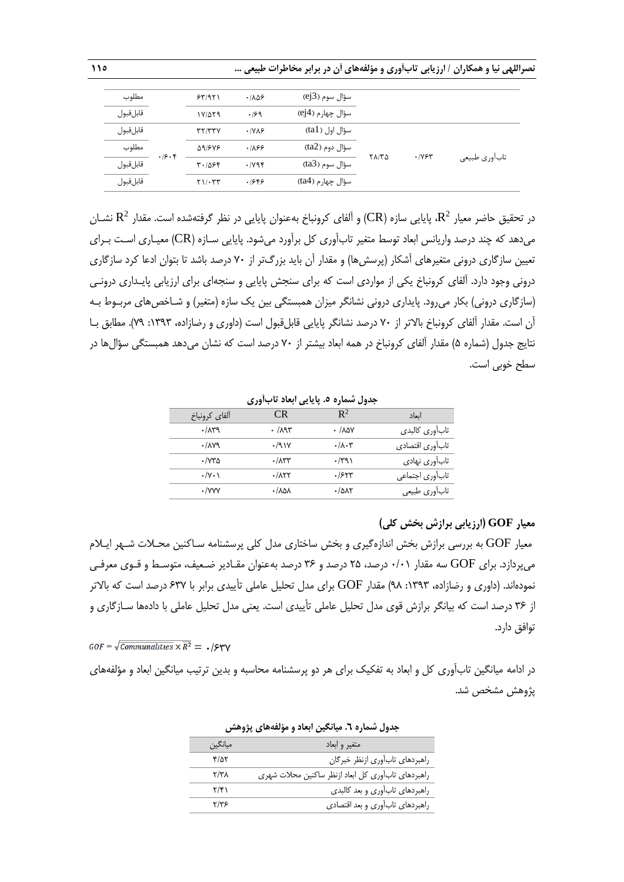|  | نصراللهی نیا و همکاران / ارزیابی تابآوری و مؤلفههای آن در برابر مخاطرات طبیعی … |
|--|---------------------------------------------------------------------------------|
|--|---------------------------------------------------------------------------------|

| مطلوب     |       | 55/971               | .1105        | سؤال سوم (ej3)      |       |      |                |
|-----------|-------|----------------------|--------------|---------------------|-------|------|----------------|
| قابل قبول |       | $1V/\Delta \Upsilon$ | .199         | ِ سؤال چهار م (ej4) |       |      |                |
| قابل قبول |       | YY/YYV               | $\cdot$ IVAS | سؤال اول (tal)      |       |      |                |
| مطلوب     | .19.8 | 91648                | .189         | سؤال دوم (ta2)      | ۲۸/۳۵ | .195 |                |
| قابل قبول |       | $T - 1096$           | .1196        | سؤال سوم (ta3)      |       |      | تاب آوري طبيعي |
| قابل قبول |       | $Y1/\cdot YY$        | .1889        | سؤال چهارم (ta4)    |       |      |                |

در تحقیق حاضر معیار  $\mathbf{R}^2$ ، پایایی سازه (CR) و آلفای کرونباخ بهعنوان پایایی در نظر گرفتهشده است. مقدار  $\mathbf{R}^2$  نشــان میدهد که چند درصد واریانس ابعاد توسط متغیر تابآوری کل برآورد میشود. پایایی سـازه (CR) معیـاری اسـت بـرای تعیین سازگاری درونی متغیرهای آشکار )پرسشها( و مقدار آن باید بزرگتر از 70 درصد باشد تا بتوان ادعا کرد سازگاری درونی وجود دارد. آلفای کرونباخ یکی از مواردی است که برای سنجش پایایی و سنجهای برای ارزیابی پایـداری درونـی (سازگاری درونی) بکار می رود. پایداری درونی نشانگر میزان همبستگی بین یک سازه (متغیر) و شـاخصهای مربـوط بـه آن است. مقدار آلفای کرونباخ باالتر از 70 درصد نشانگر پایایی قابلقبول است )داوری و رضازاده، :1393 79(. مطابق بـا نتایج جدول (شماره ۵) مقدار آلفای کرونباخ در همه ابعاد بیشتر از ۷۰ درصد است که نشان میدهد همبستگی سؤالها در سطح خوبی است.

**جدول شماره .5 پایایی ابعاد تابآوری**

| الفاي كرونباخ      | CR.                    | $\mathbb{R}^2$                 | انعاد            |
|--------------------|------------------------|--------------------------------|------------------|
| .71                | $\cdot$ /195           | $\cdot$ / $\lambda$ $\Delta V$ | تاب أورى كالبدى  |
| .714               | .791V                  | $\cdot/\lambda\cdot\tau$       | تاب آوري اقتصادي |
| ۱۷۳۵ ۰             | $\cdot$ / $\Lambda$ ۳۳ | $\cdot$ /۳۹۱                   | تابآوري نهادي    |
| $\cdot$ /Y $\cdot$ | ۰/۸۲۲                  | .755                           | تاب أورى اجتماعي |
| $\cdot$ /yyy       | ۰/۷۶۷                  | $\cdot$ / $\Delta$             | تاب آوري طبيعي   |

## **معیار GOF( ارزیابی برازش بخش کلی(**

معیار GOF به بررسی برازش بخش اندازهگیری و بخش ساختاری مدل کلی پرسشنامه سـاکنین محـالت شـهر ایـالم میپردازد. برای GOF سه مقدار 0/01 درصد، 25 درصد و 36 درصد بهعنوان مقـادیر ضـعیف، متوسـ و قـوی معرفـی نمودهاند. (داوری و رضازاده، ۱۳۹۳: ۹۸) مقدار  $\rm{GOF}$  برای مدل تحلیل عاملی تأییدی برابر با ۶۳۷ درصد است که بالاتر از 36 درصد است که بیانگر برازش قوی مدل تحلیل عاملی تأییدی است. یعنی مدل تحلیل عاملی با دادهها سـازگاری و توافق دارد.

 $GOF = \sqrt{Communalities \times \overline{R^2}} = \sqrt{S}^2$ 

در ادامه میانگین تابآوری کل و ابعاد به تفکیک برای هر دو پرسشنامه محاسبه و بدین ترتیب میانگین ابعاد و مؤلفههای پژوهش مشخص شد.

|                         | بعون ستنزع المستعين ابععو والتوسعيني ببروستين       |
|-------------------------|-----------------------------------------------------|
| ميانگين                 | متغير و ابعاد                                       |
| $f/\Delta V$            | راهبردهاى تاب آورى ازنظر خبركان                     |
| $\mathbf{Y}/\mathbf{Y}$ | راهبردهای تاب آوری کل ابعاد ازنظر ساکنین محلات شهری |
| $\mathbf{Y}/\mathbf{Y}$ | راهبردهای تاب آوری و بعد کالبدی                     |
| Y/Y5                    | راهبردهای تاب آوری و بعد اقتصادی                    |

| جدول شماره ٦. میانگین ابعاد و مؤلفههای پژوهش |  |  |  |  |  |
|----------------------------------------------|--|--|--|--|--|
|----------------------------------------------|--|--|--|--|--|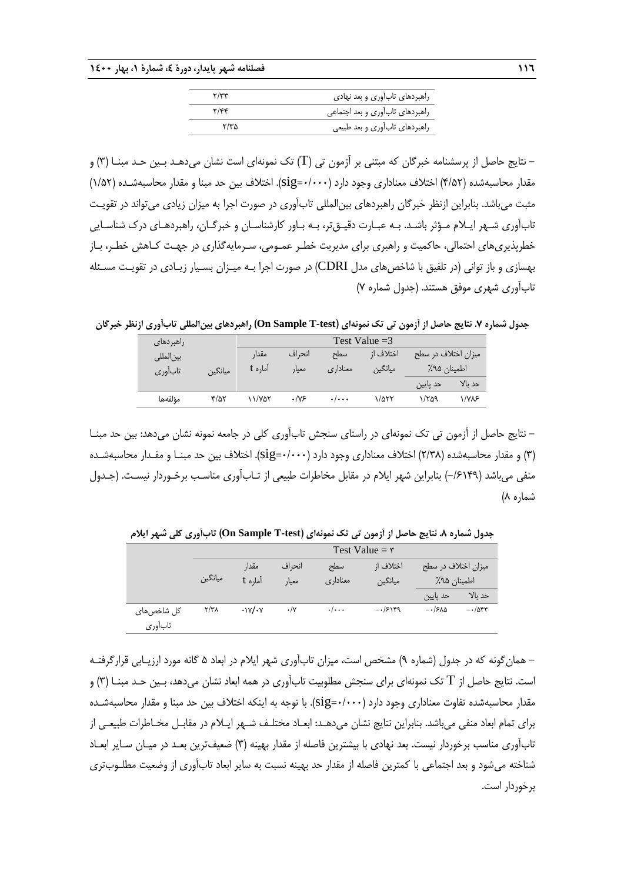|                         | راهبردهای تابآوری و بعد نهادی   |
|-------------------------|---------------------------------|
| $\mathbf{y}/\mathbf{y}$ | راهبردهای تابآوری و بعد اجتماعی |
| ۲/۳۵                    | راهبردهاي تاب آوري و بعد طبيعي  |

- نتایج حاصل از پرسشنامه خبرگان که مبتنی بر آزمون تی )T )تک نمونهای است نشان میدهـد بـین حـد مبنـا )3( و مقدار محاسبهشده (۴/۵۲) اختلاف معناداری وجود دارد (۰۰۰۰-sig). اختلاف بین حد مبنا و مقدار محاسبهشـده (۱/۵۲) مثبت میباشد. بنابراین ازنظر خبرگان راهبردهای بینالمللی تابآوری در صورت اجرا به میزان زیادی میتواند در تقویـت تابآوری شـهر ایـالم مـؤثر باشـد. بـه عبـارت دقیـقتر، بـه بـاور کارشناسـان و خبرگـان، راهبردهـای درك شناسـایی خطرپذیریهای احتمالی، حاکمیت و راهبری برای مدیریت خطـر عمـومی، سـرمایهگذاری در جهـت کـاهش خطـر، بـاز بهسازی و باز توانی )در تلفیق با شاخصهای مدل CDRI )در صورت اجرا بـه میـزان بسـیار زیـادی در تقویـت مسـئله تابآوری شهری موفق هستند. )جدول شماره 7(

**جدول شماره .7 نتایج حاصل از آزمون تی تک نمونهای )test-T Sample On )راهبردهای بینالمللی تابآوری ازنظر خبرگان**

| راهبر دها <i>ی</i> |         |         | Test Value $=$ 3 |                           |           |                      |         |
|--------------------|---------|---------|------------------|---------------------------|-----------|----------------------|---------|
| بين لمللى          |         | مقدا،   | انحراف           | سطح                       | اختلاف ا; | 'میزان اختلاف در سطح |         |
| تابآوري            | ميانگين | اماره t | معيار            | معناداري                  | ميانگين   | اطمينان ۹۵٪          |         |
|                    |         |         |                  |                           |           | حد پایین             | حد بالا |
| مؤلفهها            | ۴/۵۲    | 11/407  | ۰/۷۶             | $\cdot$ / $\cdot$ $\cdot$ | ۱/۵۲۲     | ۱/۲۵۹                | ۱/۷۸۶   |

- نتایج حاصل از آزمون تی تک نمونهای در راستای سنجش تابآوری کلی در جامعه نمونه نشان میدهد: بین حد مبنـا )3( و مقدار محاسبهشده )2/38( اختالف معناداری وجود دارد )0/000=sig). اختالف بین حد مبنـا و مقـدار محاسبهشـده منفی میباشد (۶۱۴۹/-) بنابراین شهر ایلام در مقابل مخاطرات طبیعی از تـابآوری مناسـب برخـوردار نیسـت. (جـدول شماره ۸)

**جدول شماره .8 نتایج حاصل از آزمون تی تک نمونهای )test-T Sample On )تابآوری کلی شهر ایالم**

|                    | Test Value = $\mathbf{r}$ |         |                  |                    |           |                       |         |
|--------------------|---------------------------|---------|------------------|--------------------|-----------|-----------------------|---------|
|                    |                           | مقدار   | انحراف           | سطح                | اختلاف ا; | ٔ میزان اختلاف در سطح |         |
|                    | ميانگين                   | آماره t | معيار            | معناداري           | ميانگين   | اطمينان ۹۵٪           |         |
|                    |                           |         |                  |                    |           | حد پایین              | حد نالا |
| کل شاخصها <i>ی</i> | ۲/۳۸                      | $-YV$   | $\cdot/\Upsilon$ | $\cdot/\cdot\cdot$ | $-15189$  | $-15\lambda$          | $-105$  |
| تابأوري            |                           |         |                  |                    |           |                       |         |

- همانگونه که در جدول )شماره 9( مشخص است، میزان تابآوری شهر ایالم در ابعاد 5 گانه مورد ارزیـابی قرارگرفتـه است. نتایج حاصل از  $\rm{T}$  تک نمونهای برای سنجش مطلوبیت تابآوری در همه ابعاد نشان میدهد، بـین حـد مبنـا (٣) و مقدار محاسبهشده تفاوت معناداری وجود دارد (sig=۰/۰۰۰). با توجه به اینکه اختلاف بین حد مبنا و مقدار محاسبهشـده برای تمام ابعاد منفی میباشد. بنابراین نتایج نشان میدهـد: ابعـاد مختلـف شـهر ایـالم در مقابـل مخـاطرات طبیعـی از تابآوری مناسب برخوردار نیست. بعد نهادی با بیشترین فاصله از مقدار بهینه )3( ضعیفترین بعـد در میـان سـایر ابعـاد شناخته میشود و بعد اجتماعی با کمترین فاصله از مقدار حد بهینه نسبت به سایر ابعاد تابآوری از وضعیت مطلـوبتری برخوردار است.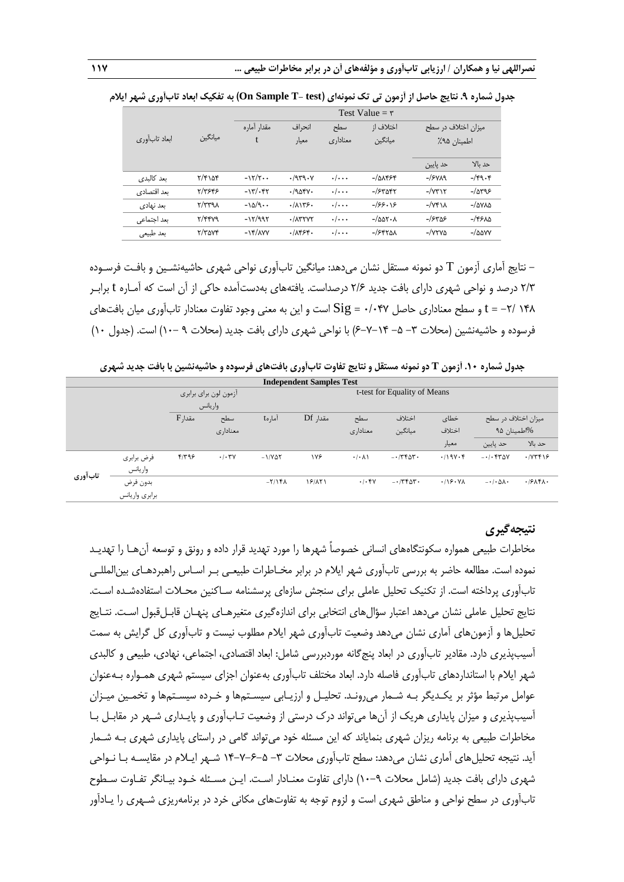|               |                                         | Test Value = $\mathbf{r}$              |          |                    |                                 |                           |                         |  |
|---------------|-----------------------------------------|----------------------------------------|----------|--------------------|---------------------------------|---------------------------|-------------------------|--|
|               |                                         | مقدار آماره                            | انحراف   | سطح                | اختلاف از                       | میزان اختلاف در سطح       |                         |  |
| ابعاد تابأورى | ميانگين                                 | t<br>ميانگين<br>معناداری<br>معيار      |          |                    | اطمينان ٩۵٪                     |                           |                         |  |
|               |                                         |                                        |          |                    |                                 | حد پایین                  | حد بالا                 |  |
| بعد كالبدى    | $\frac{8}{2}$                           | $-15/7$                                | .7979.4  | $\cdot/\cdot\cdot$ | $-/\Delta\lambda$ ۴۶۴           | $-$ / $5$ $y$ $\lambda$ 9 | $-\sqrt{9.6}$           |  |
| بعد اقتصادی   | 5/٣۶۴۶                                  | $-17/0.57$                             | $-1905V$ | $\cdot/\cdot\cdot$ | $-$ / $5$ ۳۵۴۲                  | $-\sqrt{Y^*}$             | $-/\Delta r95$          |  |
| بعد نهادي     | $\gamma/\tau$ ۳۹ $\lambda$              | $-\lambda\Delta/\mathcal{A}\cdot\cdot$ | .71175.  | $\cdot/\cdot\cdot$ | $-$ /۶۶۰۱۶                      | $-\sqrt{Y^*}$             | $-\Delta V\Delta\Delta$ |  |
| بعد اجتماعي   | $\mathsf{r}/\mathsf{r}\mathsf{r}$ va    | $-17/997$                              | $-.7271$ | $\cdot/\cdot\cdot$ | $-\Delta\Delta V \cdot \Lambda$ | $-$ /۶۳۵۶                 | $-\frac{1}{2}$          |  |
| بعد طبيعي     | $\mathbf{r}/\mathbf{r}$ av $\mathbf{r}$ | $-15/\lambda$                          | .7899.   | $\cdot/\cdot\cdot$ | $-$ /۶۴۲۵۸                      | $-\sqrt{YYV}$             | $-\Delta \Delta VV$     |  |

**جدول شماره .9 نتایج حاصل از آزمون تی تک نمونهای )test -T Sample On )به تفکیک ابعاد تابآوری شهر ایالم**

- نتایج آماری آزمون T دو نمونه مستقل نشان میدهد: میانگین تابآوری نواحی شهری حاشیهنشـین و بافـت فرسـوده 2/3 درصد و نواحی شهری دارای بافت جدید 2/6 درصداست. یافتههای بهدستآمده حاکی از آن است که آمـاره t برابـر 148 -2/ = t و سطح معناداری حاصل 0/047 = Sig است و این به معنی وجود تفاوت معنادار تابآوری میان بافتهای فرسوده و حاشیهنشین (محلات ۳– ۵– ۲۰–۶) با نواحی شهری دارای بافت جدید (محلات ۹ –۱۰) است. (جدول ۱۰)

**جدول شماره .10 آزمون T دو نمونه مستقل و نتایج تفاوت تابآوری بافتهای فرسوده و حاشیهنشین با بافت جدید شهری**

| <b>Independent Samples Test</b> |                |            |                              |                |          |                            |         |                     |                     |         |
|---------------------------------|----------------|------------|------------------------------|----------------|----------|----------------------------|---------|---------------------|---------------------|---------|
|                                 |                |            | t-test for Equality of Means |                |          |                            |         |                     |                     |         |
|                                 |                | واريانس    |                              |                |          |                            |         |                     |                     |         |
|                                 |                | $F,$ مقدار | سطح                          | آمار to        | مقدا, Df | سطح                        | اختلاف  | خطاى                | میزان اختلاف در سطح |         |
|                                 |                |            | معنادارى                     |                |          | معنادارى                   | ميانگين | اختلاف              | %اطمينان ۹۵         |         |
|                                 |                |            |                              |                |          |                            |         | معيار               | حد پايين            | حد بالا |
| تابآوري                         | فرض برابري     | ۴۱۳۹۶      | .1.7V                        | $-1/V\Delta Y$ | ۱۷۶      | $\cdot$ / $\cdot$ $\wedge$ | $-1560$ | $.119V \cdot F$     | $-1.544$            | .7YFF99 |
|                                 | واريانس        |            |                              |                |          |                            |         |                     |                     |         |
|                                 | بدون فرض       |            |                              | $-Y/YFA$       | 18/171   | .1.5V                      | $-1750$ | .119.4 <sub>A</sub> | $-1.04$             | .79AFA. |
|                                 | برابري واريانس |            |                              |                |          |                            |         |                     |                     |         |

## **نتیجهگیری**

مخاطرات طبیعی همواره سکونتگاههای انسانی خصوصاً شهرها را مورد تهدید قرار داده و رونق و توسعه آنهـا را تهدیـد نموده است. مطالعه حاضر به بررسی تابآوری شهر ایالم در برابر مخـاطرات طبیعـی بـر اسـاس راهبردهـای بینالمللـی تابآوری پرداخته است. از تکنیک تحلیل عاملی برای سنجش سازهای پرسشنامه سـاکنین محـالت استفادهشـده اسـت. نتایج تحلیل عاملی نشان میدهد اعتبار سؤالهای انتخابی برای اندازهگیری متغیرهـای پنهـان قابـلقبول اسـت. نتـایج تحلیلها و آزمونهای آماری نشان میدهد وضعیت تابآوری شهر ایالم مطلوب نیست و تابآوری کل گرایش به سمت آسیبپذیری دارد. مقادیر تابآوری در ابعاد پنجگانه موردبررسی شامل: ابعاد اقتصادی، اجتماعی، نهادی، طبیعی و کالبدی شهر ایالم با استانداردهای تابآوری فاصله دارد. ابعاد مختلف تابآوری بهعنوان اجزای سیستم شهری همـواره بـهعنوان عوامل مرتبط مؤثر بر یکـدیگر بـه شـمار می٫رونـد. تحلیـل و ارزیـابی سیسـتمها و خـرده سیسـتمها و تخمـین میـزان آسیبپذیری و میزان پایداری هریک از آنها میتواند درك درستی از وضعیت تـابآوری و پایـداری شـهر در مقابـل بـا مخاطرات طبیعی به برنامه ریزان شهری بنمایاند که این مسئله خود میتواند گامی در راستای پایداری شهری بـه شـمار آید. نتیجه تحلیلهای آماری نشان میدهد: سطح تابآوری محالت -3 14-7-6-5 شـهر ایـالم در مقایسـه بـا نـواحی شهری دارای بافت جدید (شامل محلات ۹–۱۰) دارای تفاوت معنـادار اسـت. ایـن مسـئله خـود بیـانگر تفـاوت سـطوح تابآوری در سطح نواحی و مناطق شهری است و لزوم توجه به تفاوتهای مکانی خرد در برنامهریزی شـهری را یـادآور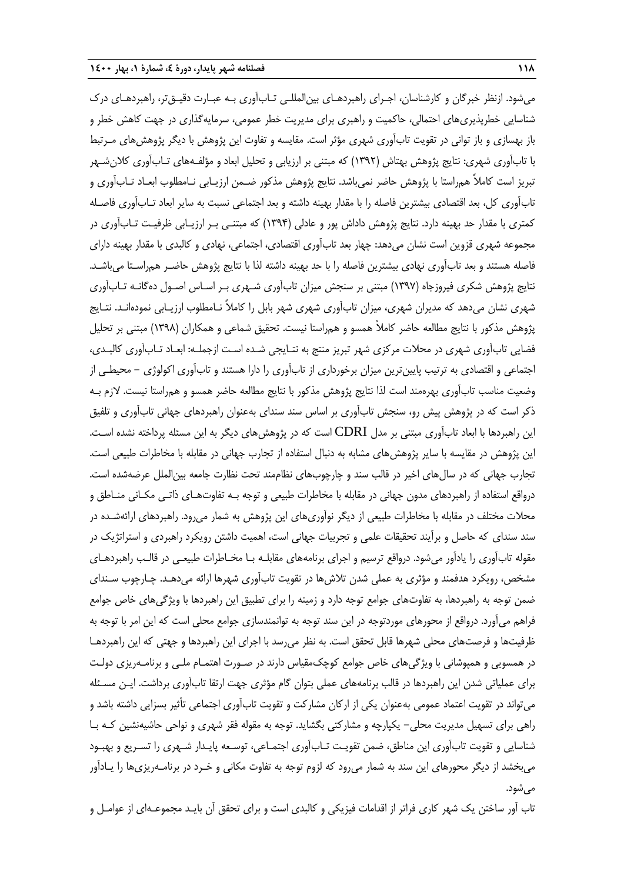میشود. ازنظر خبرگان و کارشناسان، اجـرای راهبردهـای بینالمللـی تـابآوری بـه عبـارت دقیـقتر، راهبردهـای درك شناسایی خطرپذیریهای احتمالی، حاکمیت و راهبری برای مدیریت خطر عمومی، سرمایهگذاری در جهت کاهش خطر و باز بهسازی و باز توانی در تقویت تابآوری شهری مؤثر است. مقایسه و تفاوت این پژوهش با دیگر پژوهشهای مـرتب با تابآوری شهری: نتایج پژوهش بهتاش )1392( که مبتنی بر ارزیابی و تحلیل ابعاد و مؤلفـههای تـابآوری کالنشـهر تبریز است کامالً همراستا با پژوهش حاضر نمیباشد. نتایج پژوهش مذکور ضـمن ارزیـابی نـامطلوب ابعـاد تـابآوری و تابآوری کل، بعد اقتصادی بیشترین فاصله را با مقدار بهینه داشته و بعد اجتماعی نسبت به سایر ابعاد تـابآوری فاصـله کمتری با مقدار حد بهینه دارد. نتایج پژوهش داداش پور و عادلی )1394( که مبتنـی بـر ارزیـابی ظرفیـت تـابآوری در مجموعه شهری قزوین است نشان میدهد: چهار بعد تابآوری اقتصادی، اجتماعی، نهادی و کالبدی با مقدار بهینه دارای فاصله هستند و بعد تابآوری نهادی بیشترین فاصله را با حد بهینه داشته لذا با نتایج پژوهش حاضـر همراسـتا میباشـد. نتایج پژوهش شکری فیروزجاه )1397( مبتنی بر سنجش میزان تابآوری شـهری بـر اسـاس اصـول دهگانـه تـابآوری شهری نشان میدهد که مدیران شهری، میزان تابآوری شهری شهر بابل را کامالً نـامطلوب ارزیـابی نمودهانـد. نتـایج پژوهش مذکور با نتایج مطالعه حاضر کامالً همسو و همراستا نیست. تحقیق شماعی و همکاران )1398( مبتنی بر تحلیل فضایی تابآوری شهری در محالت مرکزی شهر تبریز منتج به نتـایجی شـده اسـت ازجملـه: ابعـاد تـابآوری کالبـدی، اجتماعی و اقتصادی به ترتیب پایینترین میزان برخورداری از تابآوری را دارا هستند و تابآوری اکولوژی - محیطـی از وضعیت مناسب تابآوری بهرهمند است لذا نتایج پژوهش مذکور با نتایج مطالعه حاضر همسو و همراستا نیست. الزم بـه ذکر است که در پژوهش پیش رو، سنجش تابآوری بر اساس سند سندای بهعنوان راهبردهای جهانی تابآوری و تلفیق این راهبردها با ابعاد تابآوری مبتنی بر مدل CDRI است که در پژوهشهای دیگر به این مسئله پرداخته نشده اسـت. این پژوهش در مقایسه با سایر پژوهشهای مشابه به دنبال استفاده از تجارب جهانی در مقابله با مخاطرات طبیعی است. تجارب جهانی که در سالهای اخیر در قالب سند و چارچوبهای نظاممند تحت نظارت جامعه بینالملل عرضهشده است. درواقع استفاده از راهبردهای مدون جهانی در مقابله با مخاطرات طبیعی و توجه بـه تفاوتهـای ذاتـی مکـانی منـاطق و محالت مختلف در مقابله با مخاطرات طبیعی از دیگر نوآوریهای این پژوهش به شمار میرود. راهبردهای ارائهشـده در سند سندای که حاصل و برآیند تحقیقات علمی و تجربیات جهانی است، اهمیت داشتن رویکرد راهبردی و استراتژیک در مقوله تابآوری را یادآور میشود. درواقع ترسیم و اجرای برنامههای مقابلـه بـا مخـاطرات طبیعـی در قالـب راهبردهـای مشخص، رویکرد هدفمند و مؤثری به عملی شدن تلاشها در تقویت تابآوری شهرها ارائه میدهـد. چـارچوب سـندای ضمن توجه به راهبردها، به تفاوتهای جوامع توجه دارد و زمینه را برای تطبیق این راهبردها با ویژگیهای خاص جوامع فراهم میآورد. درواقع از محورهای موردتوجه در این سند توجه به توانمندسازی جوامع محلی است که این امر با توجه به ظرفیتها و فرصتهای محلی شهرها قابل تحقق است. به نظر میرسد با اجرای این راهبردها و جهتی که این راهبردهـا در همسویی و همپوشانی با ویژگیهای خاص جوامع کوچکمقیاس دارند در صـورت اهتمـام ملـی و برنامـهریزی دولـت برای عملیاتی شدن این راهبردها در قالب برنامههای عملی بتوان گام مؤثری جهت ارتقا تابآوری برداشت. ایـن مسـئله میتواند در تقویت اعتماد عمومی بهعنوان یکی از ارکان مشارکت و تقویت تابآوری اجتماعی تأثیر بسزایی داشته باشد و راهی برای تسهیل مدیریت محلی- یکپارچه و مشارکتی بگشاید. توجه به مقوله فقر شهری و نواحی حاشیهنشین کـه بـا شناسایی و تقویت تابآوری این مناطق، ضمن تقویـت تـابآوری اجتمـاعی، توسـعه پایـدار شـهری را تسـریع و بهبـود میبخشد از دیگر محورهای این سند به شمار میرود که لزوم توجه به تفاوت مکانی و خـرد در برنامـهریزیها را یـادآور میشود.

تاب آور ساختن یک شهر کاری فراتر از اقدامات فیزیکی و کالبدی است و برای تحقق آن بایـد مجموعـهای از عوامـل و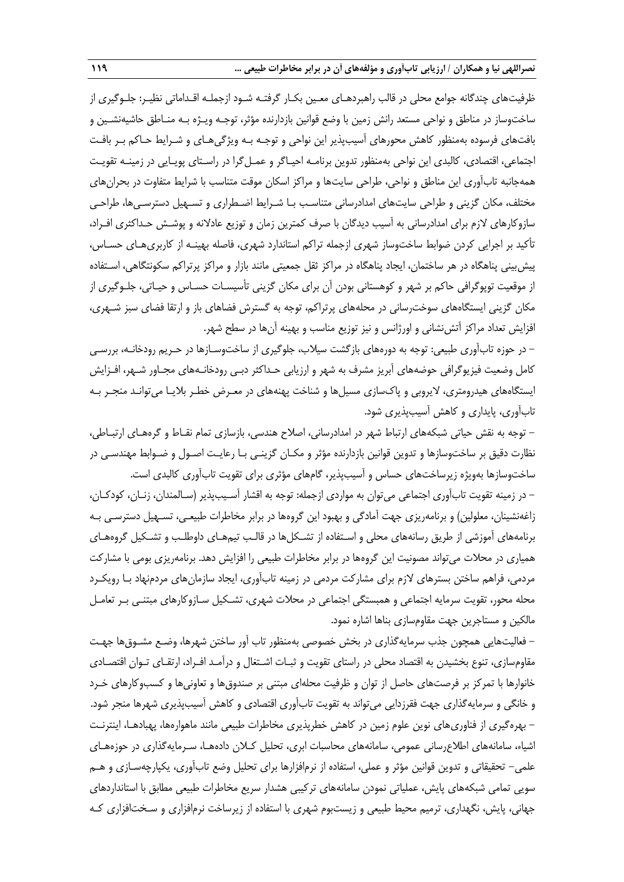ظرفیتهای چندگانه جوامع محلی در قالب راهبردهـای معـین بکـار گرفتـه شـود ازجملـه اقـداماتی نظیـر: جلـوگیری از ساختوساز در مناطق و نواحی مستعد رانش زمین با وضع قوانین بازدارنده مؤثر، توجـه ویـژه بـه منـاطق حاشیهنشـین و بافتهای فرسوده بهمنظور کاهش محورهای آسیبپذیر این نواحی و توجـه بـه ویژگیهـای و شـرای حـاکم بـر بافـت اجتماعی، اقتصادی، کالبدی این نواحی بهمنظور تدوین برنامـه احیـاگر و عمـلگرا در راسـتای پویـایی در زمینـه تقویـت همهجانبه تابآوری این مناطق و نواحی، طراحی سایتها و مراکز اسکان موقت متناسب با شرایط متفاوت در بحرانهای مختلف، مکان گزینی و طراحی سایتهای امدادرسانی متناسـب بـا شـرای اضـطراری و تسـهیل دسترسـیها، طراحـی سازوکارهای لازم برای امدادرسانی به آسیب دیدگان با صرف کمترین زمان و توزیع عادلانه و پوشـش حـداکثری افـراد، تأکید بر اجرایی کردن ضوابط ساختوساز شهری ازجمله تراکم استاندارد شهری، فاصله بهینـه از کاربریهـای حسـاس، پیشبینی پناهگاه در هر ساختمان، ایجاد پناهگاه در مراکز ثقل جمعیتی مانند بازار و مراکز پرتراکم سکونتگاهی، اسـتفاده از موقعیت توپوگرافی حاکم بر شهر و کوهستانی بودن آن برای مکان گزینی تأسیسـات حسـاس و حیـاتی، جلـوگیری از مکان گزینی ایستگاههای سوخترسانی در محلههای پرتراکم، توجه به گسترش فضاهای باز و ارتقا فضای سبز شـهری، افزایش تعداد مراکز آتشنشانی و اورژانس و نیز توزیع مناسب و بهینه آنها در سطح شهر.

- در حوزه تابآوری طبیعی: توجه به دورههای بازگشت سیالب، جلوگیری از ساختوسـازها در حـریم رودخانـه، بررسـی کامل وضعیت فیزیوگرافی حوضههای آبریز مشرف به شهر و ارزیابی حـداکثر دبـی رودخانـههای مجـاور شـهر، افـزایش ایستگاههای هیدرومتری، الیروبی و پاكسازی مسیلها و شناخت پهنههای در معـر خطـر بالیـا میتوانـد منجـر بـه تابآوری، پایداری و کاهش آسیبپذیری شود.

– توجه به نقش حیاتی شبکههای ارتباط شهر در امدادرسانی، اصلاح هندسی، بازسازی تمام نقـاط و گرههـای ارتبـاطی، نظارت دقیق بر ساختوسازها و تدوین قوانین بازدارنده مؤثر و مکـان گزینـی بـا رعایـت اصـول و ضـواب مهندسـی در ساختوسازها بهویژه زیرساختهای حساس و آسیبپذیر، گامهای مؤثری برای تقویت تابآوری کالبدی است.

- در زمینه تقویت تابآوری اجتماعی میتوان به مواردی ازجمله: توجه به اقشار آسـیبپذیر )سـالمندان، زنـان، کودکـان، زاغهنشینان، معلولین) و برنامهریزی جهت آمادگی و بهبود این گروهها در برابر مخاطرات طبیعـی، تسـهیل دسترسـی بـه برنامههای آموزشی از طریق رسانههای محلی و اسـتفاده از تشـکلها در قالـب تیمهـای داوطلـب و تشـکیل گروههـای همیاری در محالت میتواند مصونیت این گروهها در برابر مخاطرات طبیعی را افزایش دهد. برنامهریزی بومی با مشارکت مردمی، فراهم ساختن بسترهای الزم برای مشارکت مردمی در زمینه تابآوری، ایجاد سازمانهای مردمنهاد بـا رویکـرد محله محور، تقویت سرمایه اجتماعی و همبستگی اجتماعی در محالت شهری، تشـکیل سـازوکارهای مبتنـی بـر تعامـل مالکین و مستاجرین جهت مقاومسازی بناها اشاره نمود.

- فعالیتهایی همچون جذب سرمایهگذاری در بخش خصوصی بهمنظور تاب آور ساختن شهرها، وضـع مشـوقها جهـت مقاومسازی، تنوع بخشیدن به اقتصاد محلی در راستای تقویت و ثبـات اشـتغال و درآمـد افـراد، ارتقـای تـوان اقتصـادی خانوارها با تمرکز بر فرصتهای حاصل از توان و ظرفیت محلهای مبتنی بر صندوقها و تعاونیها و کسبوکارهای خـرد و خانگی و سرمایهگذاری جهت فقرزدایی میتواند به تقویت تابآوری اقتصادی و کاهش آسیبپذیری شهرها منجر شود. - بهرهگیری از فناوریهای نوین علوم زمین در کاهش خطرپذیری مخاطرات طبیعی مانند ماهوارهها، پهبادهـا، اینترنـت اشیاء، سامانههای اطالعرسانی عمومی، سامانههای محاسبات ابری، تحلیل کـالن دادههـا، سـرمایهگذاری در حوزههـای علمی- تحقیقاتی و تدوین قوانین مؤثر و عملی، استفاده از نرمافزارها برای تحلیل وضع تابآوری، یکپارچهسـازی و هـم سویی تمامی شبکههای پایش، عملیاتی نمودن سامانههای ترکیبی هشدار سریع مخاطرات طبیعی مطابق با استانداردهای جهانی، پایش، نگهداری، ترمیم محیط طبیعی و زیستبوم شهری با استفاده از زیرساخت نرمافزاری و سـختافزاری کـه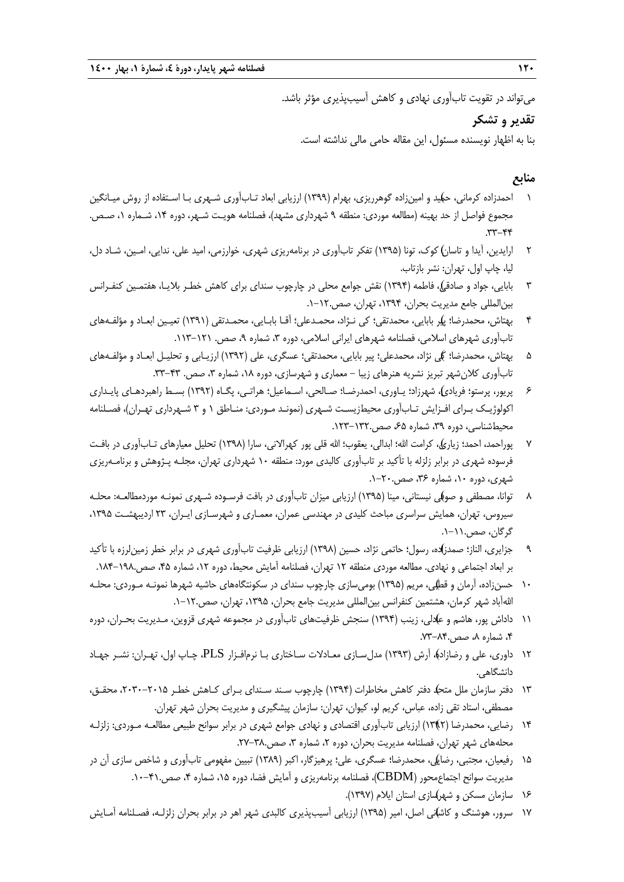میتواند در تقویت تابآوری نهادی و کاهش آسیبپذیری مؤثر باشد.

## **تقدیر و تشکر**

بنا به اظهار نویسنده مسئول، این مقاله حامی مالی نداشته است.

## **منابع**

- 1 ( احمدزاده کرمانی، حمید و امینزاده گوهرریزی، بهرام )1399( ارزیابی ابعاد تـابآوری شـهری بـا اسـتفاده از روش میـانگین مجموع فواصل از حد بهینه (مطالعه موردی: منطقه ۹ شهرداری مشهد)، فصلنامه هویـت شـهر، دوره ۱۴، شـماره ۱، صـص.  $.77 - 99$
- 2 ارایدین، آیدا و ( تاسان کوك، تونا )1395( تفکر تابآوری در برنامهریزی شهری، خوارزمی، امید علی، ندایی، امـین، شـاد دل، لیا، چاپ اول، تهران: نشر بازتاب.
- 3 بابایی، جواد و ( صادقی، فاطمه )1394( نقش جوامع محلی در چارچوب سندای برای کاهش خطـر بالیـا، هفتمـین کنفـرانس بینالمللی جامع مدیریت بحران، ،1394 تهران، صص.1-12.
- 4 بهتاش، محمدرضا؛ (پیر بابایی، محمدتقی؛ کی نـژاد، محمـدعلی؛ آقـا بابـایی، محمـدتقی )1391( تعیـین ابعـاد و مؤلفـههای تابآوری شهرهای اسلامی، فصلنامه شهرهای ایرانی اسلامی، دوره ۳، شماره ۹، صص. ۱۲۱–۱۱۳.
- 5 بهتاش، محمدرضا؛ (کی نژاد، محمدعلی؛ پیر بابایی، محمدتقی؛ عسگری، علی )1392( ارزیـابی و تحلیـل ابعـاد و مؤلفـههای تابآوری کلان شهر تبریز نشریه هنرهای زیبا – معماری و شهرسازی، دوره ۱۸، شماره ۳، صص. ۴۳-۳۳.
- ۶ پریور، پرستو؛ فریادی)، شهرزاد؛ یـاوری، احمدرضـا؛ صـالحی، اسـماعیل؛ هراتـی، پگـاه (۱۳۹۲) بسـط راهبردهـای پایـداری اکولوژیـک بـرای افـزایش تـابآوری محیطزیسـت شـهری (نمونـد مـوردی: منـاطق ۱ و ۳ شـهرداری تهـران)، فصـلنامه محیطشناسی، دوره ۳۹، شماره ۶۵، صص.۱۳۲-۱۲۳.
- 7 پوراحمد، ( احمد؛ زیاری، کرامت اهلل؛ ابدالی، یعقوب؛ اهلل قلی پور کهراالنی، سارا )1398( تحلیل معیارهای تـابآوری در بافـت فرسوده شهری در برابر زلزله با تأکید بر تابآوری کالبدی مورد: منطقه 10 شهرداری تهران، مجلـه پـژوهش و برنامـهریزی شهری، دوره ،10 شماره ،36 صص.1-20.
- توانا، مصطفی و صوفکی نیستانی، مینا (۱۳۹۵) ارزیابی میزان تابآوری در بافت فرسـوده شـهری نمونـه موردمطالعـه: محلـه سیروس، تهران، همایش سراسری مباحث کلیدی در مهندسی عمران، معمـاری و شهرسـازی ایـران، ٢٣ اردیبهشـت ١٣٩۵، گرگان، صص.1-11.
- 9 جزایری، الناز؛ ( صمدزاده، رسول؛ حاتمی نژاد، حسین )1398( ارزیابی ظرفیت تابآوری شهری در برابر خطر زمینلرزه با تأکید بر ابعاد اجتماعی و نهادی. مطالعه موردی منطقه ۱۲ تهران، فصلنامه آمایش محیط، دوره ۱۲، شماره ۴۵، صص.۱۹۸–۱۸۴.
- 10 حسنزاده، آرمان و ( قطبی، مریم )1395( بومیسازی چارچوب سندای در سکونتگاههای حاشیه شهرها نمونـه مـوردی: محلـه اهللآباد شهر کرمان، هشتمین کنفرانس بینالمللی مدیریت جامع بحران، ،1395 تهران، صص.1-12.
- 11 ( داداش پور، هاشم و عادلی، زینب )1394( سنجش ظرفیتهای تابآوری در مجموعه شهری قزوین، مـدیریت بحـران، دوره ۴، شماره ۸، صص.۸۴-۷۳.
- 12 داوری، علی و ( رضازاده، آرش )1393( مدلسـازی معـادالت سـاختاری بـا نرمافـزار PLS، چـاپ اول، تهـران: نشـر جهـاد دانشگاهی.
- 13 دفتر ( سازمان ملل متحد دفتر کاهش مخاطرات )1394( چارچوب سـند سـندای بـرای کـاهش خطـر ،2030-2015 محقـق، مصطفی، استاد تقی زاده، عباس، کریم لو، کیوان، تهران: سازمان پیشگیری و مدیریت بحران شهر تهران.
- 14 رضایی، محمدرضا ) (1392( ارزیابی تابآوری اقتصادی و نهادی جوامع شهری در برابر سوانح طبیعی مطالعـه مـوردی: زلزلـه محلههای شهر تهران، فصلنامه مدیریت بحران، دوره ۲، شماره ۳، صص.۳۸-۲۷.
- 15 ( رفیعیان، مجتبی، رضایی، محمدرضا؛ عسگری، علی؛ پرهیزگار، اکبر )1389( تبیین مفهومی تابآوری و شاخص سازی آن در مدیریت سوانح اجتماعمحور (CBDM)، فصلنامه برنامهریزی و آمایش فضا، دوره ۱۵، شماره ۴، صص.۴۱-۱۰.
	- 16 ( سازمان مسکن و شهرسازی استان ایالم )1397(.
- 17 ( سرور، هوشنگ و کاشانی اصل، امیر )1395( ارزیابی آسیبپذیری کالبدی شهر اهر در برابر بحران زلزلـه، فصـلنامه آمـایش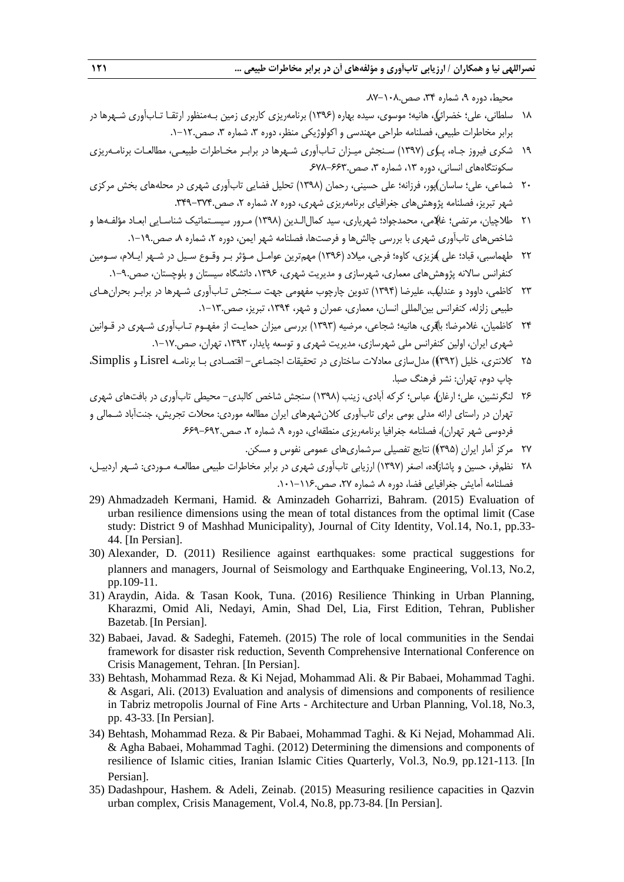محی ، دوره ،9 شماره ،34 صص.87-108.

- ۱۸ سلطانی، علی؛ خضرائی)، هانیه؛ موسوی، سیده بهاره (۱۳۹۶) برنامهریزی کاربری زمین بـهمنظور ارتقـا تـابآوری شـهرها در برابر مخاطرات طبیعی، فصلنامه طراحی مهندسی و اکولوژیکی منظر، دوره ۳، شماره ۳، صص.۱۲-۱.
- 19 ( شکری فیروز جـاه، پـری )1397( سـنجش میـزان تـابآوری شـهرها در برابـر مخـاطرات طبیعـی، مطالعـات برنامـهریزی سکونتگاههای انسانی، دوره ۱۳، شماره ۳، صص.۶۶۳-۶۷۸ـ
- ۲۰ شماعی، علی؛ ساسان)پور، فرزانه؛ علی حسینی، رحمان (۱۳۹۸) تحلیل فضایی تابآوری شهری در محلههای بخش مرکزی شهر تبریز، فصلنامه پژوهش های جغرافیای برنامهریزی شهری، دوره ۷، شماره ۲، صص.۳۷۴-۳۳۹.
- ٢١ طلاچیان، مرتضی؛ غلامی، محمدجواد؛ شهریاری، سید کمال|لـدین (١٣٩٨) مـرور سیسـتماتیک شناسـایی ابعـاد مؤلفـهها و شاخص های تابآوری شهری با بررسی چالش ها و فرصتها، فصلنامه شهر ایمن، دوره ۲، شماره ۸، صص.۱۹-۱.
- 22 ( طهماسبی، قباد؛ علی عزیزی، کاوه؛ فرجی، میالد )1396( مهمترین عوامـل مـؤثر بـر وقـوع سـیل در شـهر ایـالم، سـومین کنفرانس سالانه پژوهش های معماری، شهرسازی و مدیریت شهری، ۱۳۹۶، دانشگاه سیستان و بلوچستان، صص.۹-۱.
- 23 کاظمی، داوود و ( عندلیب، علیرضا )1394( تدوین چارچوب مفهومی جهت سـنجش تـابآوری شـهرها در برابـر بحرانهـای طبیعی زلزله، کنفرانس بینالمللی انسان، معماری، عمران و شهر، ،1394 تبریز، صص.1-13.
- ٢۴ کاظمیان، غلامرضا؛ باقری، هانیه؛ شجاعی، مرضیه (١٣٩٣) بررسی میزان حمایـت از مفهـوم تـابآوری شـهری در قـوانین شهری ایران، اولین کنفرانس ملی شهرسازی، مدیریت شهری و توسعه پایدار، ،1393 تهران، صص.1-17.
- 25 کالنتری، خلیل ) ( 1392( مدلسازی معادالت ساختاری در تحقیقات اجتمـاعی- اقتصـادی بـا برنامـه Lisrel و Simplis، چاپ دوم، تهران: نشر فرهنگ صبا.
- 26 لنگرنشین، علی؛ ( ارران، عباس؛ کرکه آبادی، زینب )1398( سنجش شاخص کالبدی- محیطی تابآوری در بافتهای شهری تهران در راستای ارائه مدلی بومی برای تابآوری کالنشهرهای ایران مطالعه موردی: محالت تجریش، جنتآباد شـمالی و فردوسی شهر تهران(، فصلنامه جغرافیا برنامهریزی منطقهای، دوره ،9 شماره ،2 صص.669-692.
	- 27 مرکز آمار ایران ) ( 1395( نتایج تفصیلی سرشماریهای عمومی نفوس و مسکن.
- 28 نظم ( فر، حسین و پاشازاده، اصغر )1397( ارزیابی تابآوری شهری در برابر مخاطرات طبیعی مطالعـه مـوردی: شـهر اردبیـل، فصلنامه آمایش جغرافیایی فضا، دوره ،8 شماره ،27 صص.101-116.
- 29) Ahmadzadeh Kermani, Hamid. & Aminzadeh Goharrizi, Bahram. (2015) Evaluation of urban resilience dimensions using the mean of total distances from the optimal limit (Case study: District 9 of Mashhad Municipality), Journal of City Identity, Vol.14, No.1, pp.33- 44. [In Persian].
- 30) Alexander, D. (2011) Resilience against earthquakes: some practical suggestions for planners and managers, Journal of Seismology and Earthquake Engineering, Vol.13, No.2, pp.109-11.
- 31) Araydin, Aida. & Tasan Kook, Tuna. (2016) Resilience Thinking in Urban Planning, Kharazmi, Omid Ali, Nedayi, Amin, Shad Del, Lia, First Edition, Tehran, Publisher Bazetab. [In Persian].
- 32) Babaei, Javad. & Sadeghi, Fatemeh. (2015) The role of local communities in the Sendai framework for disaster risk reduction, Seventh Comprehensive International Conference on Crisis Management, Tehran. [In Persian].
- 33) Behtash, Mohammad Reza. & Ki Nejad, Mohammad Ali. & Pir Babaei, Mohammad Taghi. & Asgari, Ali. (2013) Evaluation and analysis of dimensions and components of resilience in Tabriz metropolis Journal of Fine Arts - Architecture and Urban Planning, Vol.18, No.3, pp. 43-33. [In Persian].
- 34) Behtash, Mohammad Reza. & Pir Babaei, Mohammad Taghi. & Ki Nejad, Mohammad Ali. & Agha Babaei, Mohammad Taghi. (2012) Determining the dimensions and components of resilience of Islamic cities, Iranian Islamic Cities Quarterly, Vol.3, No.9, pp.121-113. [In Persian].
- 35) Dadashpour, Hashem. & Adeli, Zeinab. (2015) Measuring resilience capacities in Qazvin urban complex, Crisis Management, Vol.4, No.8, pp.73-84. [In Persian].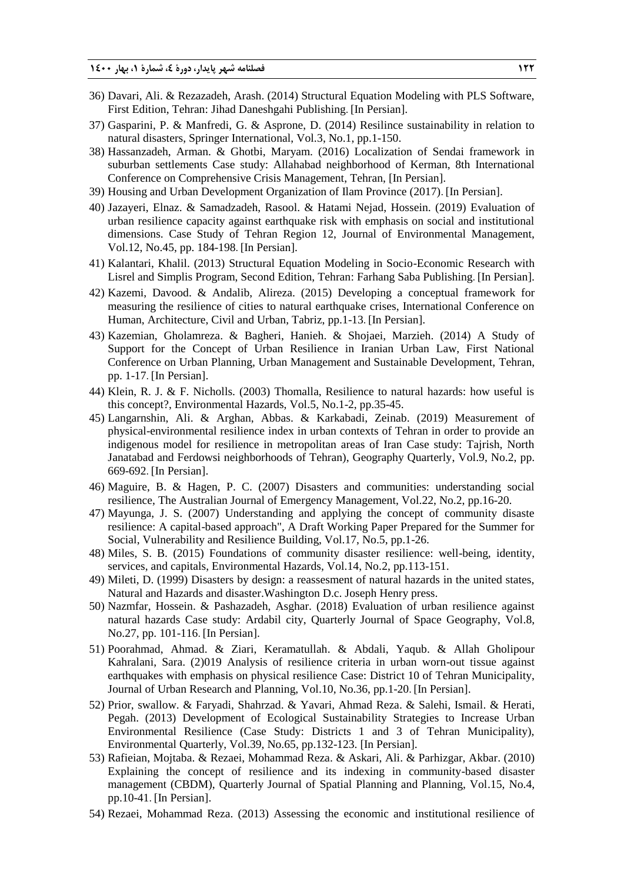- 36) Davari, Ali. & Rezazadeh, Arash. (2014) Structural Equation Modeling with PLS Software, First Edition, Tehran: Jihad Daneshgahi Publishing. [In Persian].
- 37) Gasparini, P. & Manfredi, G. & Asprone, D. (2014) Resilince sustainability in relation to natural disasters, Springer International, Vol.3, No.1, pp.1-150.
- 38) Hassanzadeh, Arman. & Ghotbi, Maryam. (2016) Localization of Sendai framework in suburban settlements Case study: Allahabad neighborhood of Kerman, 8th International Conference on Comprehensive Crisis Management, Tehran, [In Persian].
- 39) Housing and Urban Development Organization of Ilam Province (2017). [In Persian].
- 40) Jazayeri, Elnaz. & Samadzadeh, Rasool. & Hatami Nejad, Hossein. (2019) Evaluation of urban resilience capacity against earthquake risk with emphasis on social and institutional dimensions. Case Study of Tehran Region 12, Journal of Environmental Management, Vol.12, No.45, pp. 184-198. [In Persian].
- 41) Kalantari, Khalil. (2013) Structural Equation Modeling in Socio-Economic Research with Lisrel and Simplis Program, Second Edition, Tehran: Farhang Saba Publishing. [In Persian].
- 42) Kazemi, Davood. & Andalib, Alireza. (2015) Developing a conceptual framework for measuring the resilience of cities to natural earthquake crises, International Conference on Human, Architecture, Civil and Urban, Tabriz, pp.1-13. [In Persian].
- 43) Kazemian, Gholamreza. & Bagheri, Hanieh. & Shojaei, Marzieh. (2014) A Study of Support for the Concept of Urban Resilience in Iranian Urban Law, First National Conference on Urban Planning, Urban Management and Sustainable Development, Tehran, pp. 1-17. [In Persian].
- 44) Klein, R. J. & F. Nicholls. (2003) Thomalla, Resilience to natural hazards: how useful is this concept?, Environmental Hazards, Vol.5, No.1-2, pp.35-45.
- 45) Langarnshin, Ali. & Arghan, Abbas. & Karkabadi, Zeinab. (2019) Measurement of physical-environmental resilience index in urban contexts of Tehran in order to provide an indigenous model for resilience in metropolitan areas of Iran Case study: Tajrish, North Janatabad and Ferdowsi neighborhoods of Tehran), Geography Quarterly, Vol.9, No.2, pp. 669-692. [In Persian].
- 46) Maguire, B. & Hagen, P. C. (2007) Disasters and communities: understanding social resilience, The Australian Journal of Emergency Management, Vol.22, No.2, pp.16-20.
- 47) Mayunga, J. S. (2007) Understanding and applying the concept of community disaste resilience: A capital-based approach", A Draft Working Paper Prepared for the Summer for Social, Vulnerability and Resilience Building, Vol.17, No.5, pp.1-26.
- 48) Miles, S. B. (2015) Foundations of community disaster resilience: well-being, identity, services, and capitals, Environmental Hazards, Vol.14, No.2, pp.113-151.
- 49) Mileti, D. (1999) Disasters by design: a reassesment of natural hazards in the united states, Natural and Hazards and disaster.Washington D.c. Joseph Henry press.
- 50) Nazmfar, Hossein. & Pashazadeh, Asghar. (2018) Evaluation of urban resilience against natural hazards Case study: Ardabil city, Quarterly Journal of Space Geography, Vol.8, No.27, pp. 101-116. [In Persian].
- 51) Poorahmad, Ahmad. & Ziari, Keramatullah. & Abdali, Yaqub. & Allah Gholipour Kahralani, Sara. (2)019 Analysis of resilience criteria in urban worn-out tissue against earthquakes with emphasis on physical resilience Case: District 10 of Tehran Municipality, Journal of Urban Research and Planning, Vol.10, No.36, pp.1-20. [In Persian].
- 52) Prior, swallow. & Faryadi, Shahrzad. & Yavari, Ahmad Reza. & Salehi, Ismail. & Herati, Pegah. (2013) Development of Ecological Sustainability Strategies to Increase Urban Environmental Resilience (Case Study: Districts 1 and 3 of Tehran Municipality), Environmental Quarterly, Vol.39, No.65, pp.132-123. [In Persian].
- 53) Rafieian, Mojtaba. & Rezaei, Mohammad Reza. & Askari, Ali. & Parhizgar, Akbar. (2010) Explaining the concept of resilience and its indexing in community-based disaster management (CBDM), Quarterly Journal of Spatial Planning and Planning, Vol.15, No.4, pp.10-41. [In Persian].
- 54) Rezaei, Mohammad Reza. (2013) Assessing the economic and institutional resilience of